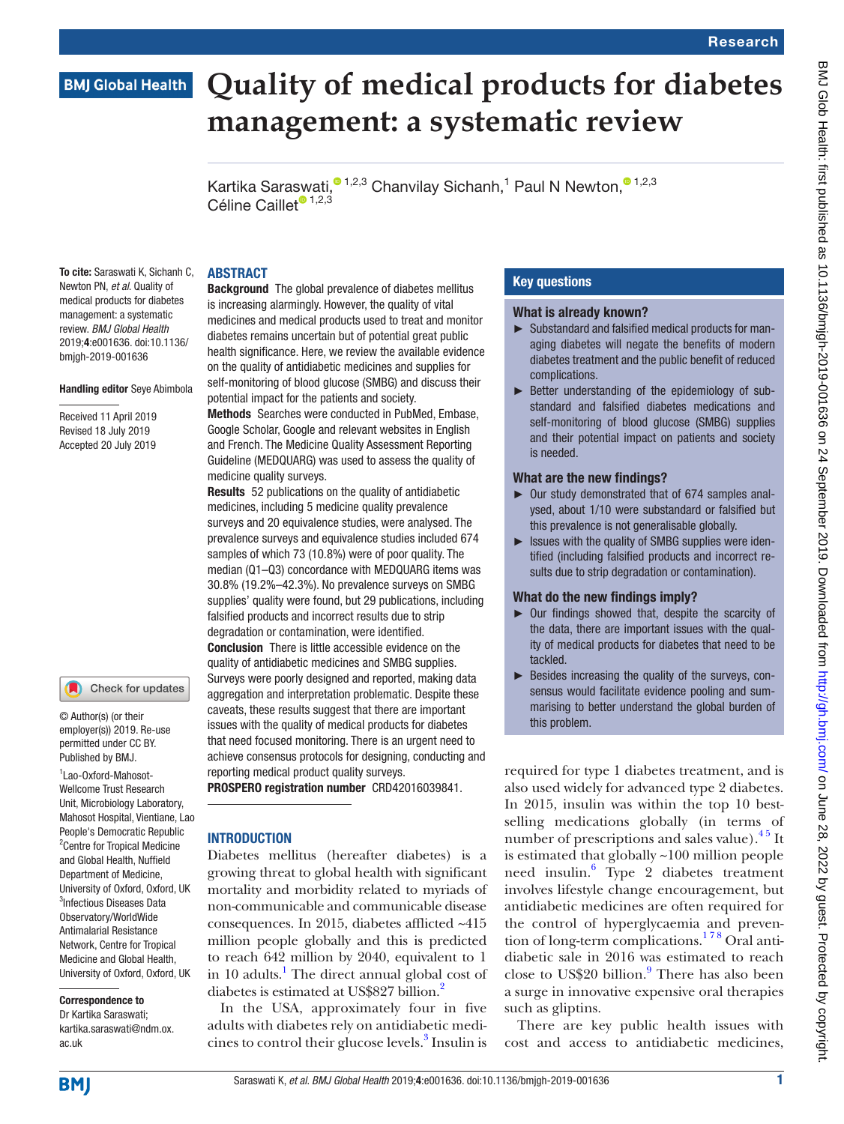# **Quality of medical products for diabetes BMJ Global Health management: a systematic review**

Kartika Saraswati[,](http://orcid.org/0000-0001-8705-9176) <sup>01,2,3</sup> Chanvilay Sichanh, <sup>1</sup> Paul N Newton, <sup>01,2,3</sup> Céline Caillet<sup>® 1,2,3</sup>

## **ABSTRACT**

To cite: Saraswati K, Sichanh C, Newton PN, *et al*. Quality of medical products for diabetes management: a systematic review. *BMJ Global Health* 2019;4:e001636. doi:10.1136/ bmjgh-2019-001636

#### Handling editor Seye Abimbola

Received 11 April 2019 Revised 18 July 2019 Accepted 20 July 2019

#### Check for updates

© Author(s) (or their employer(s)) 2019. Re-use permitted under CC BY. Published by BMJ.

1 Lao-Oxford-Mahosot-Wellcome Trust Research Unit, Microbiology Laboratory, Mahosot Hospital, Vientiane, Lao People's Democratic Republic 2 Centre for Tropical Medicine and Global Health, Nuffield Department of Medicine, University of Oxford, Oxford, UK <sup>3</sup>Infectious Diseases Data Observatory/WorldWide Antimalarial Resistance Network, Centre for Tropical Medicine and Global Health, University of Oxford, Oxford, UK

#### Correspondence to

Dr Kartika Saraswati; kartika.saraswati@ndm.ox. ac.uk

**Background** The global prevalence of diabetes mellitus is increasing alarmingly. However, the quality of vital medicines and medical products used to treat and monitor diabetes remains uncertain but of potential great public health significance. Here, we review the available evidence on the quality of antidiabetic medicines and supplies for self-monitoring of blood glucose (SMBG) and discuss their potential impact for the patients and society.

Methods Searches were conducted in PubMed, Embase, Google Scholar, Google and relevant websites in English and French. The Medicine Quality Assessment Reporting Guideline (MEDQUARG) was used to assess the quality of medicine quality surveys.

Results 52 publications on the quality of antidiabetic medicines, including 5 medicine quality prevalence surveys and 20 equivalence studies, were analysed. The prevalence surveys and equivalence studies included 674 samples of which 73 (10.8%) were of poor quality. The median (Q1–Q3) concordance with MEDQUARG items was 30.8% (19.2%–42.3%). No prevalence surveys on SMBG supplies' quality were found, but 29 publications, including falsified products and incorrect results due to strip degradation or contamination, were identified. Conclusion There is little accessible evidence on the quality of antidiabetic medicines and SMBG supplies. Surveys were poorly designed and reported, making data aggregation and interpretation problematic. Despite these caveats, these results suggest that there are important issues with the quality of medical products for diabetes that need focused monitoring. There is an urgent need to achieve consensus protocols for designing, conducting and reporting medical product quality surveys.

PROSPERO registration number CRD42016039841.

## **INTRODUCTION**

Diabetes mellitus (hereafter diabetes) is a growing threat to global health with significant mortality and morbidity related to myriads of non-communicable and communicable disease consequences. In 2015, diabetes afflicted ~415 million people globally and this is predicted to reach 642 million by 2040, equivalent to 1 in 10 adults.<sup>1</sup> The direct annual global cost of diabetes is estimated at US\$8[2](#page-10-1)7 billion.<sup>2</sup>

In the USA, approximately four in five adults with diabetes rely on antidiabetic medicines to control their glucose levels.<sup>3</sup> Insulin is

## Key questions

### What is already known?

- ► Substandard and falsified medical products for managing diabetes will negate the benefits of modern diabetes treatment and the public benefit of reduced complications.
- ► Better understanding of the epidemiology of substandard and falsified diabetes medications and self-monitoring of blood glucose (SMBG) supplies and their potential impact on patients and society is needed.

### What are the new findings?

- ► Our study demonstrated that of 674 samples analysed, about 1/10 were substandard or falsified but this prevalence is not generalisable globally.
- ► Issues with the quality of SMBG supplies were identified (including falsified products and incorrect results due to strip degradation or contamination).

## What do the new findings imply?

- ► Our findings showed that, despite the scarcity of the data, there are important issues with the quality of medical products for diabetes that need to be tackled.
- ► Besides increasing the quality of the surveys, consensus would facilitate evidence pooling and summarising to better understand the global burden of this problem.

required for type 1 diabetes treatment, and is also used widely for advanced type 2 diabetes. In 2015, insulin was within the top 10 bestselling medications globally (in terms of number of prescriptions and sales value).<sup>45</sup> It is estimated that globally ~100 million people need insulin[.6](#page-10-4) Type 2 diabetes treatment involves lifestyle change encouragement, but antidiabetic medicines are often required for the control of hyperglycaemia and prevention of long-term complications.<sup>178</sup> Oral antidiabetic sale in 2016 was estimated to reach close to US\$20 billion.<sup>[9](#page-10-5)</sup> There has also been a surge in innovative expensive oral therapies such as gliptins.

There are key public health issues with cost and access to antidiabetic medicines,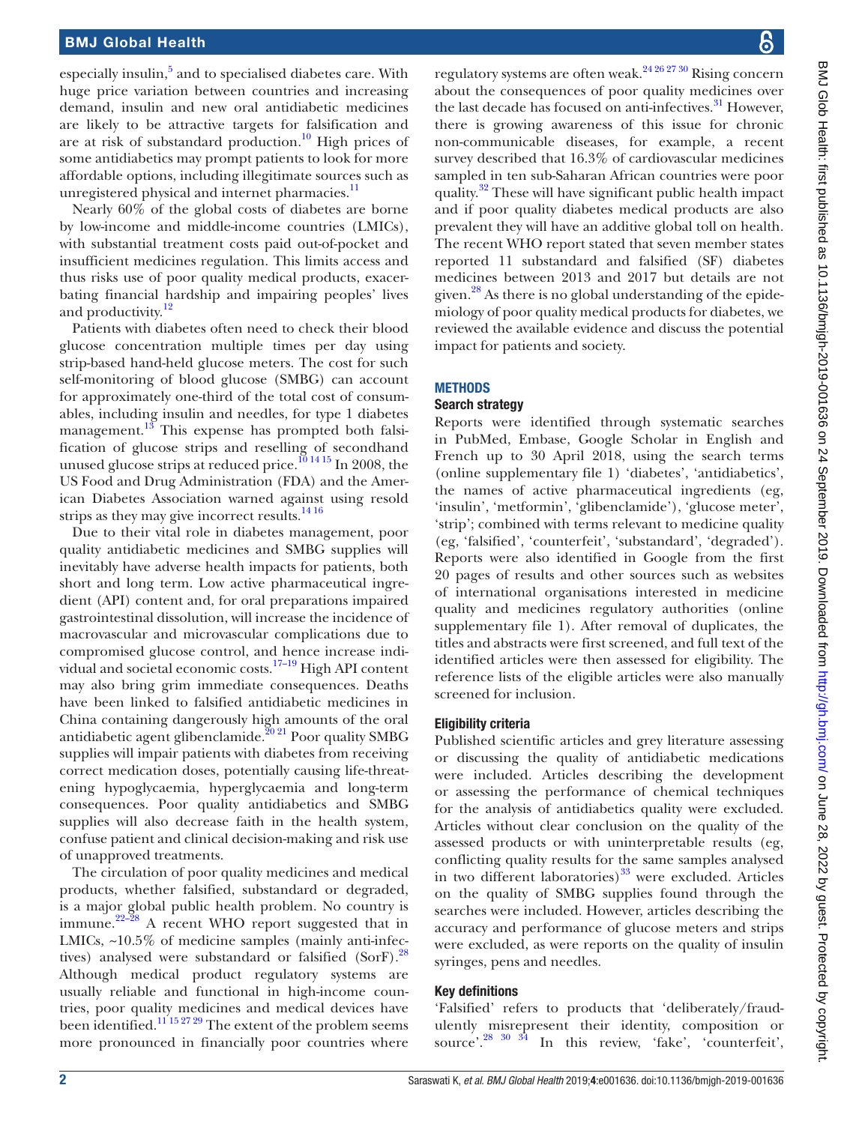especially insulin,<sup>[5](#page-10-6)</sup> and to specialised diabetes care. With huge price variation between countries and increasing demand, insulin and new oral antidiabetic medicines are likely to be attractive targets for falsification and are at risk of substandard production.<sup>10</sup> High prices of some antidiabetics may prompt patients to look for more affordable options, including illegitimate sources such as unregistered physical and internet pharmacies.<sup>[11](#page-10-8)</sup>

Nearly 60% of the global costs of diabetes are borne by low-income and middle-income countries (LMICs), with substantial treatment costs paid out-of-pocket and insufficient medicines regulation. This limits access and thus risks use of poor quality medical products, exacerbating financial hardship and impairing peoples' lives and productivity.<sup>12</sup>

Patients with diabetes often need to check their blood glucose concentration multiple times per day using strip-based hand-held glucose meters. The cost for such self-monitoring of blood glucose (SMBG) can account for approximately one-third of the total cost of consumables, including insulin and needles, for type 1 diabetes management. $13$  This expense has prompted both falsification of glucose strips and reselling of secondhand unused glucose strips at reduced price.<sup>10 14 15</sup> In 2008, the US Food and Drug Administration (FDA) and the American Diabetes Association warned against using resold strips as they may give incorrect results.[14 16](#page-10-11)

Due to their vital role in diabetes management, poor quality antidiabetic medicines and SMBG supplies will inevitably have adverse health impacts for patients, both short and long term. Low active pharmaceutical ingredient (API) content and, for oral preparations impaired gastrointestinal dissolution, will increase the incidence of macrovascular and microvascular complications due to compromised glucose control, and hence increase individual and societal economic costs.[17–19](#page-10-12) High API content may also bring grim immediate consequences. Deaths have been linked to falsified antidiabetic medicines in China containing dangerously high amounts of the oral antidiabetic agent glibenclamide.<sup>20 21</sup> Poor quality SMBG supplies will impair patients with diabetes from receiving correct medication doses, potentially causing life-threatening hypoglycaemia, hyperglycaemia and long-term consequences. Poor quality antidiabetics and SMBG supplies will also decrease faith in the health system, confuse patient and clinical decision-making and risk use of unapproved treatments.

The circulation of poor quality medicines and medical products, whether falsified, substandard or degraded, is a major global public health problem. No country is immune.<sup>22–28</sup> A recent WHO report suggested that in LMICs, ~10.5% of medicine samples (mainly anti-infectives) analysed were substandard or falsified (SorF).<sup>28</sup> Although medical product regulatory systems are usually reliable and functional in high-income countries, poor quality medicines and medical devices have been identified.<sup>11'15 27 29</sup> The extent of the problem seems more pronounced in financially poor countries where

regulatory systems are often weak.[24 26 27 30](#page-10-15) Rising concern about the consequences of poor quality medicines over the last decade has focused on anti-infectives.<sup>31</sup> However, there is growing awareness of this issue for chronic non-communicable diseases, for example, a recent survey described that 16.3% of cardiovascular medicines sampled in ten sub-Saharan African countries were poor quality.[32](#page-11-2) These will have significant public health impact and if poor quality diabetes medical products are also prevalent they will have an additive global toll on health. The recent WHO report stated that seven member states reported 11 substandard and falsified (SF) diabetes medicines between 2013 and 2017 but details are not given.<sup>28</sup> As there is no global understanding of the epidemiology of poor quality medical products for diabetes, we reviewed the available evidence and discuss the potential impact for patients and society.

## **METHODS**

## Search strategy

Reports were identified through systematic searches in PubMed, Embase, Google Scholar in English and French up to 30 April 2018, using the search terms [\(online supplementary file 1\)](https://dx.doi.org/10.1136/bmjgh-2019-001636) 'diabetes', 'antidiabetics', the names of active pharmaceutical ingredients (eg, 'insulin', 'metformin', 'glibenclamide'), 'glucose meter', 'strip'; combined with terms relevant to medicine quality (eg, 'falsified', 'counterfeit', 'substandard', 'degraded'). Reports were also identified in Google from the first 20 pages of results and other sources such as websites of international organisations interested in medicine quality and medicines regulatory authorities [\(online](https://dx.doi.org/10.1136/bmjgh-2019-001636) [supplementary file 1\)](https://dx.doi.org/10.1136/bmjgh-2019-001636). After removal of duplicates, the titles and abstracts were first screened, and full text of the identified articles were then assessed for eligibility. The reference lists of the eligible articles were also manually screened for inclusion.

## Eligibility criteria

Published scientific articles and grey literature assessing or discussing the quality of antidiabetic medications were included. Articles describing the development or assessing the performance of chemical techniques for the analysis of antidiabetics quality were excluded. Articles without clear conclusion on the quality of the assessed products or with uninterpretable results (eg, conflicting quality results for the same samples analysed in two different laboratories) $33$  were excluded. Articles on the quality of SMBG supplies found through the searches were included. However, articles describing the accuracy and performance of glucose meters and strips were excluded, as were reports on the quality of insulin syringes, pens and needles.

## Key definitions

'Falsified' refers to products that 'deliberately/fraudulently misrepresent their identity, composition or source'[.28 30 34](#page-11-0) In this review, 'fake', 'counterfeit',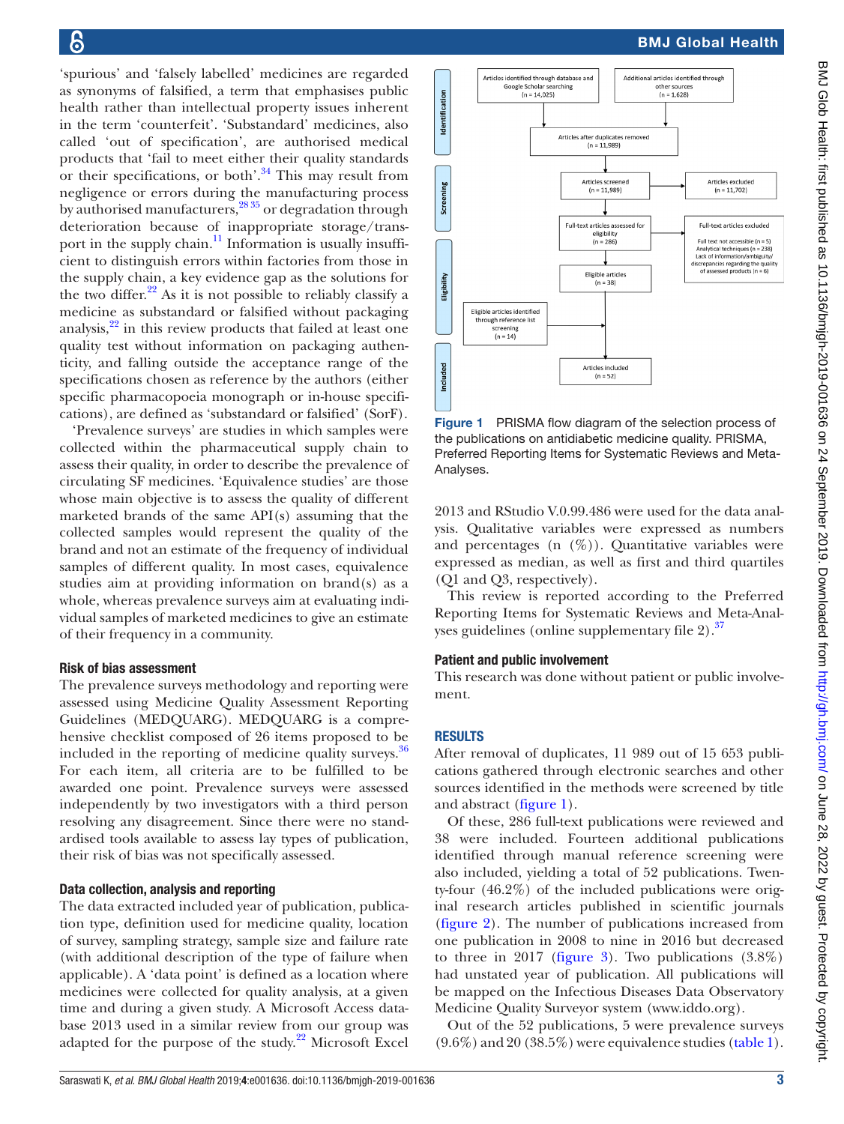'spurious' and 'falsely labelled' medicines are regarded as synonyms of falsified, a term that emphasises public health rather than intellectual property issues inherent in the term 'counterfeit'. 'Substandard' medicines, also called 'out of specification', are authorised medical products that 'fail to meet either their quality standards or their specifications, or both'.<sup>34</sup> This may result from negligence or errors during the manufacturing process by authorised manufacturers,<sup>28 35</sup> or degradation through deterioration because of inappropriate storage/transport in the supply chain. $\frac{11}{11}$  $\frac{11}{11}$  $\frac{11}{11}$  Information is usually insufficient to distinguish errors within factories from those in the supply chain, a key evidence gap as the solutions for the two differ. $^{22}$  As it is not possible to reliably classify a medicine as substandard or falsified without packaging analysis, $^{22}$  in this review products that failed at least one quality test without information on packaging authenticity, and falling outside the acceptance range of the specifications chosen as reference by the authors (either specific pharmacopoeia monograph or in-house specifications), are defined as 'substandard or falsified' (SorF).

'Prevalence surveys' are studies in which samples were collected within the pharmaceutical supply chain to assess their quality, in order to describe the prevalence of circulating SF medicines. 'Equivalence studies' are those whose main objective is to assess the quality of different marketed brands of the same API(s) assuming that the collected samples would represent the quality of the brand and not an estimate of the frequency of individual samples of different quality. In most cases, equivalence studies aim at providing information on brand(s) as a whole, whereas prevalence surveys aim at evaluating individual samples of marketed medicines to give an estimate of their frequency in a community.

## Risk of bias assessment

The prevalence surveys methodology and reporting were assessed using Medicine Quality Assessment Reporting Guidelines (MEDQUARG). MEDQUARG is a comprehensive checklist composed of 26 items proposed to be included in the reporting of medicine quality surveys. $36$ For each item, all criteria are to be fulfilled to be awarded one point. Prevalence surveys were assessed independently by two investigators with a third person resolving any disagreement. Since there were no standardised tools available to assess lay types of publication, their risk of bias was not specifically assessed.

## Data collection, analysis and reporting

The data extracted included year of publication, publication type, definition used for medicine quality, location of survey, sampling strategy, sample size and failure rate (with additional description of the type of failure when applicable). A 'data point' is defined as a location where medicines were collected for quality analysis, at a given time and during a given study. A Microsoft Access database 2013 used in a similar review from our group was adapted for the purpose of the study. $^{22}$  Microsoft Excel

# BMJ Global Health



<span id="page-2-0"></span>Figure 1 PRISMA flow diagram of the selection process of the publications on antidiabetic medicine quality. PRISMA, Preferred Reporting Items for Systematic Reviews and Meta-Analyses.

2013 and RStudio V.0.99.486 were used for the data analysis. Qualitative variables were expressed as numbers and percentages  $(n \ (\%))$ . Quantitative variables were expressed as median, as well as first and third quartiles (Q1 and Q3, respectively).

This review is reported according to the Preferred Reporting Items for Systematic Reviews and Meta-Analyses guidelines ([online supplementary file 2](https://dx.doi.org/10.1136/bmjgh-2019-001636)).<sup>37</sup>

## Patient and public involvement

This research was done without patient or public involvement.

## **RESULTS**

After removal of duplicates, 11 989 out of 15 653 publications gathered through electronic searches and other sources identified in the methods were screened by title and abstract ([figure](#page-2-0) 1).

Of these, 286 full-text publications were reviewed and 38 were included. Fourteen additional publications identified through manual reference screening were also included, yielding a total of 52 publications. Twenty-four (46.2%) of the included publications were original research articles published in scientific journals [\(figure](#page-3-0) 2). The number of publications increased from one publication in 2008 to nine in 2016 but decreased to three in 2017 ([figure](#page-3-1) 3). Two publications  $(3.8\%)$ had unstated year of publication. All publications will be mapped on the Infectious Diseases Data Observatory Medicine Quality Surveyor system (<www.iddo.org>).

Out of the 52 publications, 5 were prevalence surveys  $(9.6\%)$  and  $20$   $(38.5\%)$  were equivalence studies [\(table](#page-4-0) 1).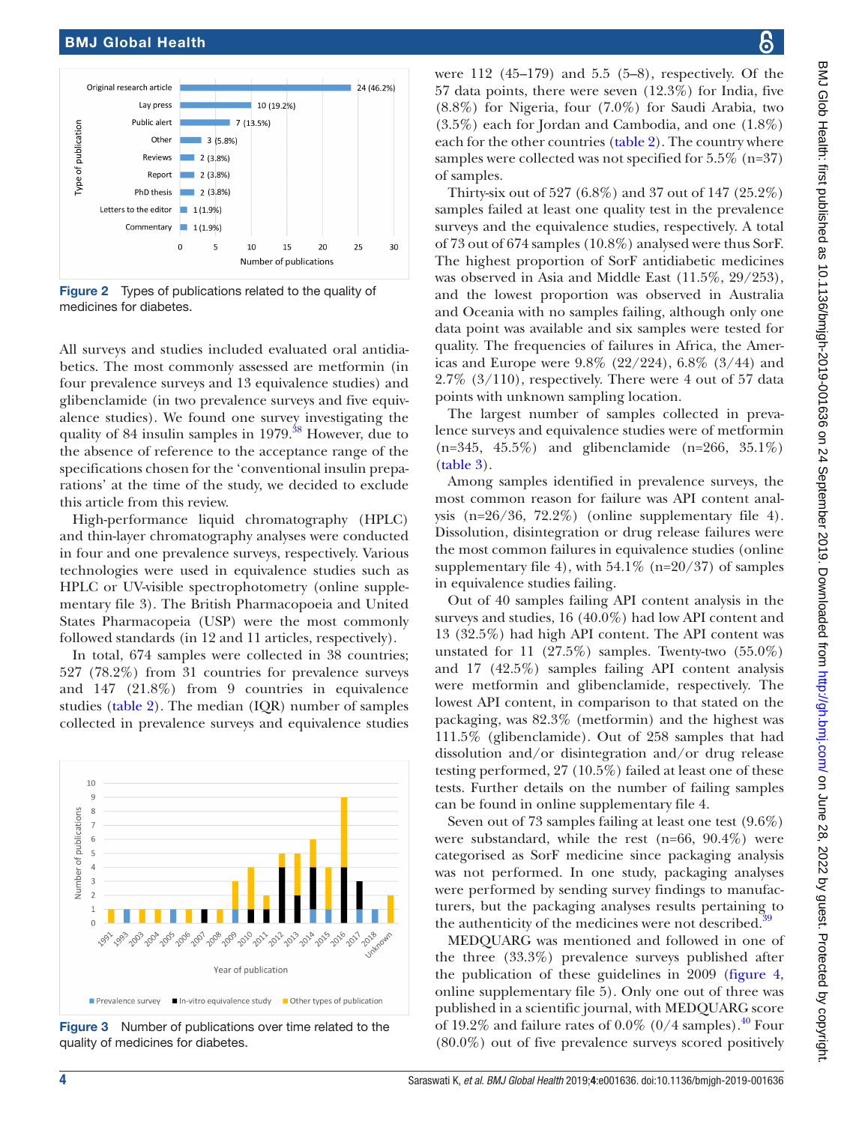

<span id="page-3-0"></span>Figure 2 Types of publications related to the quality of medicines for diabetes.

All surveys and studies included evaluated oral antidiabetics. The most commonly assessed are metformin (in four prevalence surveys and 13 equivalence studies) and glibenclamide (in two prevalence surveys and five equivalence studies). We found one survey investigating the quality of 84 insulin samples in 1979.<sup>38</sup> However, due to the absence of reference to the acceptance range of the specifications chosen for the 'conventional insulin preparations' at the time of the study, we decided to exclude this article from this review.

High-performance liquid chromatography (HPLC) and thin-layer chromatography analyses were conducted in four and one prevalence surveys, respectively. Various technologies were used in equivalence studies such as HPLC or UV-visible spectrophotometry [\(online supple](https://dx.doi.org/10.1136/bmjgh-2019-001636)[mentary file 3\)](https://dx.doi.org/10.1136/bmjgh-2019-001636). The British Pharmacopoeia and United States Pharmacopeia (USP) were the most commonly followed standards (in 12 and 11 articles, respectively).

In total, 674 samples were collected in 38 countries; 527 (78.2%) from 31 countries for prevalence surveys and 147 (21.8%) from 9 countries in equivalence studies [\(table](#page-5-0) 2). The median (IQR) number of samples collected in prevalence surveys and equivalence studies



<span id="page-3-1"></span>Figure 3 Number of publications over time related to the quality of medicines for diabetes.

were 112 (45–179) and 5.5 (5–8), respectively. Of the 57 data points, there were seven (12.3%) for India, five (8.8%) for Nigeria, four (7.0%) for Saudi Arabia, two (3.5%) each for Jordan and Cambodia, and one (1.8%) each for the other countries ([table](#page-5-0) 2). The country where samples were collected was not specified for 5.5% (n=37) of samples.

Thirty-six out of 527 (6.8%) and 37 out of 147 (25.2%) samples failed at least one quality test in the prevalence surveys and the equivalence studies, respectively. A total of 73 out of 674 samples (10.8%) analysed were thus SorF. The highest proportion of SorF antidiabetic medicines was observed in Asia and Middle East (11.5%, 29/253), and the lowest proportion was observed in Australia and Oceania with no samples failing, although only one data point was available and six samples were tested for quality. The frequencies of failures in Africa, the Americas and Europe were 9.8% (22/224), 6.8% (3/44) and 2.7% (3/110), respectively. There were 4 out of 57 data points with unknown sampling location.

The largest number of samples collected in prevalence surveys and equivalence studies were of metformin (n=345, 45.5%) and glibenclamide (n=266, 35.1%) [\(table](#page-6-0) 3).

Among samples identified in prevalence surveys, the most common reason for failure was API content analysis (n=26/36, 72.2%) [\(online supplementary file 4](https://dx.doi.org/10.1136/bmjgh-2019-001636)). Dissolution, disintegration or drug release failures were the most common failures in equivalence studies [\(online](https://dx.doi.org/10.1136/bmjgh-2019-001636) [supplementary file 4\)](https://dx.doi.org/10.1136/bmjgh-2019-001636), with  $54.1\%$  (n=20/37) of samples in equivalence studies failing.

Out of 40 samples failing API content analysis in the surveys and studies, 16 (40.0%) had low API content and 13 (32.5%) had high API content. The API content was unstated for 11 (27.5%) samples. Twenty-two  $(55.0\%)$ and 17 (42.5%) samples failing API content analysis were metformin and glibenclamide, respectively. The lowest API content, in comparison to that stated on the packaging, was 82.3% (metformin) and the highest was 111.5% (glibenclamide). Out of 258 samples that had dissolution and/or disintegration and/or drug release testing performed, 27 (10.5%) failed at least one of these tests. Further details on the number of failing samples can be found in [online supplementary file 4](https://dx.doi.org/10.1136/bmjgh-2019-001636).

Seven out of 73 samples failing at least one test (9.6%) were substandard, while the rest (n=66, 90.4%) were categorised as SorF medicine since packaging analysis was not performed. In one study, packaging analyses were performed by sending survey findings to manufacturers, but the packaging analyses results pertaining to the authenticity of the medicines were not described.<sup>39</sup>

MEDQUARG was mentioned and followed in one of the three (33.3%) prevalence surveys published after the publication of these guidelines in 2009 ([figure](#page-6-1) 4, [online supplementary file 5](https://dx.doi.org/10.1136/bmjgh-2019-001636)). Only one out of three was published in a scientific journal, with MEDQUARG score of 19.2% and failure rates of 0.0% (0/4 samples).<sup>40</sup> Four (80.0%) out of five prevalence surveys scored positively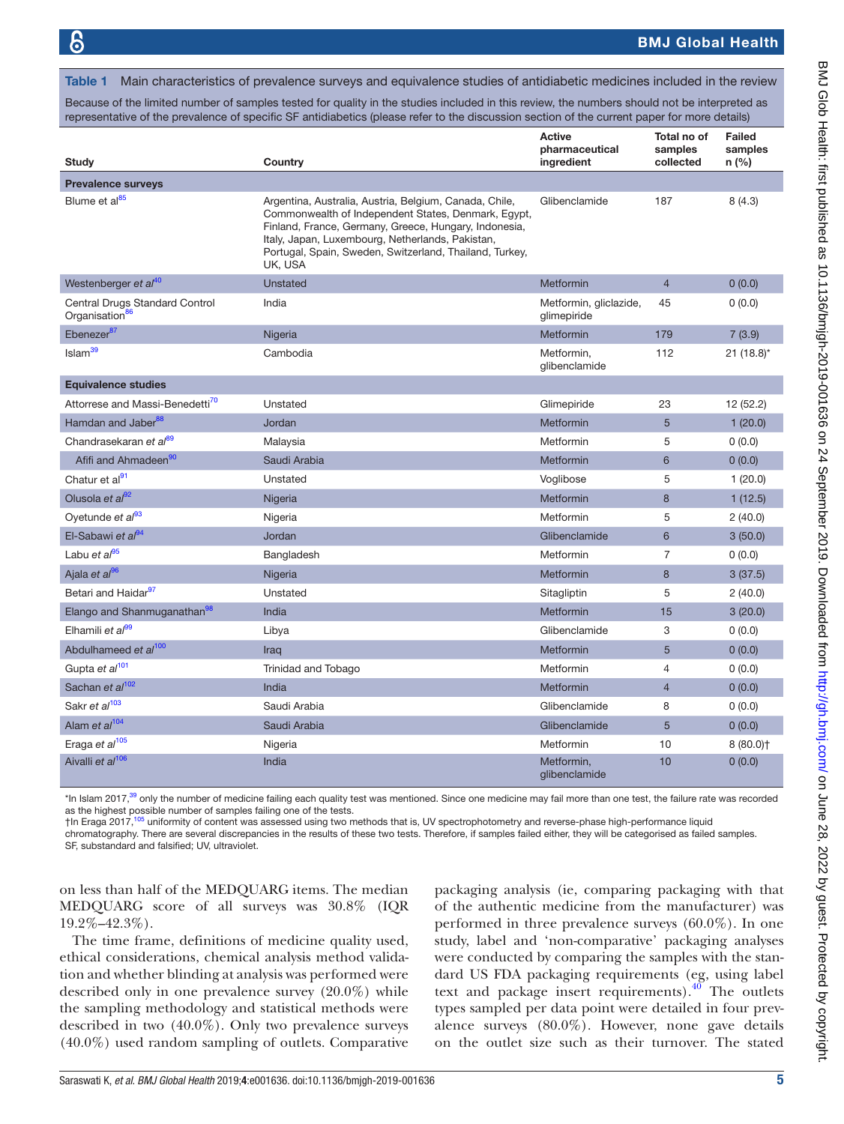<span id="page-4-0"></span>Table 1 Main characteristics of prevalence surveys and equivalence studies of antidiabetic medicines included in the review

Because of the limited number of samples tested for quality in the studies included in this review, the numbers should not be interpreted as representative of the prevalence of specific SF antidiabetics (please refer to the discussion section of the current paper for more details)

|                                                              |                                                                                                                                                                                                                                                                                                  | Active<br>pharmaceutical              | Total no of<br>samples | <b>Failed</b><br>samples |
|--------------------------------------------------------------|--------------------------------------------------------------------------------------------------------------------------------------------------------------------------------------------------------------------------------------------------------------------------------------------------|---------------------------------------|------------------------|--------------------------|
| Study                                                        | Country                                                                                                                                                                                                                                                                                          | ingredient                            | collected              | $n$ (%)                  |
| <b>Prevalence surveys</b>                                    |                                                                                                                                                                                                                                                                                                  |                                       |                        |                          |
| Blume et al <sup>85</sup>                                    | Argentina, Australia, Austria, Belgium, Canada, Chile,<br>Commonwealth of Independent States, Denmark, Egypt,<br>Finland, France, Germany, Greece, Hungary, Indonesia,<br>Italy, Japan, Luxembourg, Netherlands, Pakistan,<br>Portugal, Spain, Sweden, Switzerland, Thailand, Turkey,<br>UK, USA | Glibenclamide                         | 187                    | 8(4.3)                   |
| Westenberger et al <sup>40</sup>                             | <b>Unstated</b>                                                                                                                                                                                                                                                                                  | <b>Metformin</b>                      | $\overline{4}$         | 0(0.0)                   |
| Central Drugs Standard Control<br>Organisation <sup>86</sup> | India                                                                                                                                                                                                                                                                                            | Metformin, gliclazide,<br>glimepiride | 45                     | 0(0.0)                   |
| Ebenezer <sup>87</sup>                                       | Nigeria                                                                                                                                                                                                                                                                                          | Metformin                             | 179                    | 7(3.9)                   |
| Islam <sup>39</sup>                                          | Cambodia                                                                                                                                                                                                                                                                                         | Metformin.<br>glibenclamide           | 112                    | $21 (18.8)^*$            |
| <b>Equivalence studies</b>                                   |                                                                                                                                                                                                                                                                                                  |                                       |                        |                          |
| Attorrese and Massi-Benedetti <sup>70</sup>                  | Unstated                                                                                                                                                                                                                                                                                         | Glimepiride                           | 23                     | 12 (52.2)                |
| Hamdan and Jaber <sup>88</sup>                               | Jordan                                                                                                                                                                                                                                                                                           | Metformin                             | 5                      | 1(20.0)                  |
| Chandrasekaran et al <sup>89</sup>                           | Malaysia                                                                                                                                                                                                                                                                                         | Metformin                             | 5                      | 0(0.0)                   |
| Afifi and Ahmadeen <sup>90</sup>                             | Saudi Arabia                                                                                                                                                                                                                                                                                     | Metformin                             | $6\phantom{1}$         | (0.0)                    |
| Chatur et al <sup>91</sup>                                   | Unstated                                                                                                                                                                                                                                                                                         | Voglibose                             | 5                      | 1(20.0)                  |
| Olusola et al <sup>92</sup>                                  | Nigeria                                                                                                                                                                                                                                                                                          | <b>Metformin</b>                      | 8                      | 1(12.5)                  |
| Oyetunde et al <sup>93</sup>                                 | Nigeria                                                                                                                                                                                                                                                                                          | Metformin                             | 5                      | 2(40.0)                  |
| El-Sabawi et al <sup>94</sup>                                | Jordan                                                                                                                                                                                                                                                                                           | Glibenclamide                         | 6                      | 3(50.0)                  |
| Labu et al <sup>95</sup>                                     | Bangladesh                                                                                                                                                                                                                                                                                       | Metformin                             | 7                      | 0(0.0)                   |
| Ajala et al <sup>96</sup>                                    | Nigeria                                                                                                                                                                                                                                                                                          | Metformin                             | 8                      | 3(37.5)                  |
| Betari and Haidar <sup>97</sup>                              | Unstated                                                                                                                                                                                                                                                                                         | Sitagliptin                           | 5                      | 2(40.0)                  |
| Elango and Shanmuganathan <sup>98</sup>                      | India                                                                                                                                                                                                                                                                                            | <b>Metformin</b>                      | 15                     | 3(20.0)                  |
| Elhamili et al <sup>99</sup>                                 | Libya                                                                                                                                                                                                                                                                                            | Glibenclamide                         | 3                      | 0(0.0)                   |
| Abdulhameed et al <sup>100</sup>                             | Iraq                                                                                                                                                                                                                                                                                             | Metformin                             | 5                      | 0(0.0)                   |
| Gupta et al <sup>101</sup>                                   | <b>Trinidad and Tobago</b>                                                                                                                                                                                                                                                                       | Metformin                             | $\overline{4}$         | (0.0)                    |
| Sachan et al <sup>102</sup>                                  | India                                                                                                                                                                                                                                                                                            | <b>Metformin</b>                      | $\overline{4}$         | 0(0.0)                   |
| Sakr et al <sup>103</sup>                                    | Saudi Arabia                                                                                                                                                                                                                                                                                     | Glibenclamide                         | 8                      | (0.0)                    |
| Alam et al <sup>104</sup>                                    | Saudi Arabia                                                                                                                                                                                                                                                                                     | Glibenclamide                         | 5                      | 0(0.0)                   |
| Eraga et al <sup>105</sup>                                   | Nigeria                                                                                                                                                                                                                                                                                          | Metformin                             | 10                     | $8(80.0)$ <sup>+</sup>   |
| Aivalli et al <sup>106</sup>                                 | India                                                                                                                                                                                                                                                                                            | Metformin,<br>glibenclamide           | 10                     | 0(0.0)                   |

\*In Islam 2017,<sup>39</sup> only the number of medicine failing each quality test was mentioned. Since one medicine may fail more than one test, the failure rate was recorded as the highest possible number of samples failing one of the tests.

†In Eraga 2017[,105](#page-12-21) uniformity of content was assessed using two methods that is, UV spectrophotometry and reverse-phase high-performance liquid chromatography. There are several discrepancies in the results of these two tests. Therefore, if samples failed either, they will be categorised as failed samples.

SF, substandard and falsified; UV, ultraviolet.

on less than half of the MEDQUARG items. The median MEDQUARG score of all surveys was 30.8% (IQR 19.2%–42.3%).

The time frame, definitions of medicine quality used, ethical considerations, chemical analysis method validation and whether blinding at analysis was performed were described only in one prevalence survey (20.0%) while the sampling methodology and statistical methods were described in two (40.0%). Only two prevalence surveys (40.0%) used random sampling of outlets. Comparative

packaging analysis (ie, comparing packaging with that of the authentic medicine from the manufacturer) was performed in three prevalence surveys (60.0%). In one study, label and 'non-comparative' packaging analyses were conducted by comparing the samples with the standard US FDA packaging requirements (eg, using label text and package insert requirements). $^{40}$  The outlets types sampled per data point were detailed in four prevalence surveys (80.0%). However, none gave details on the outlet size such as their turnover. The stated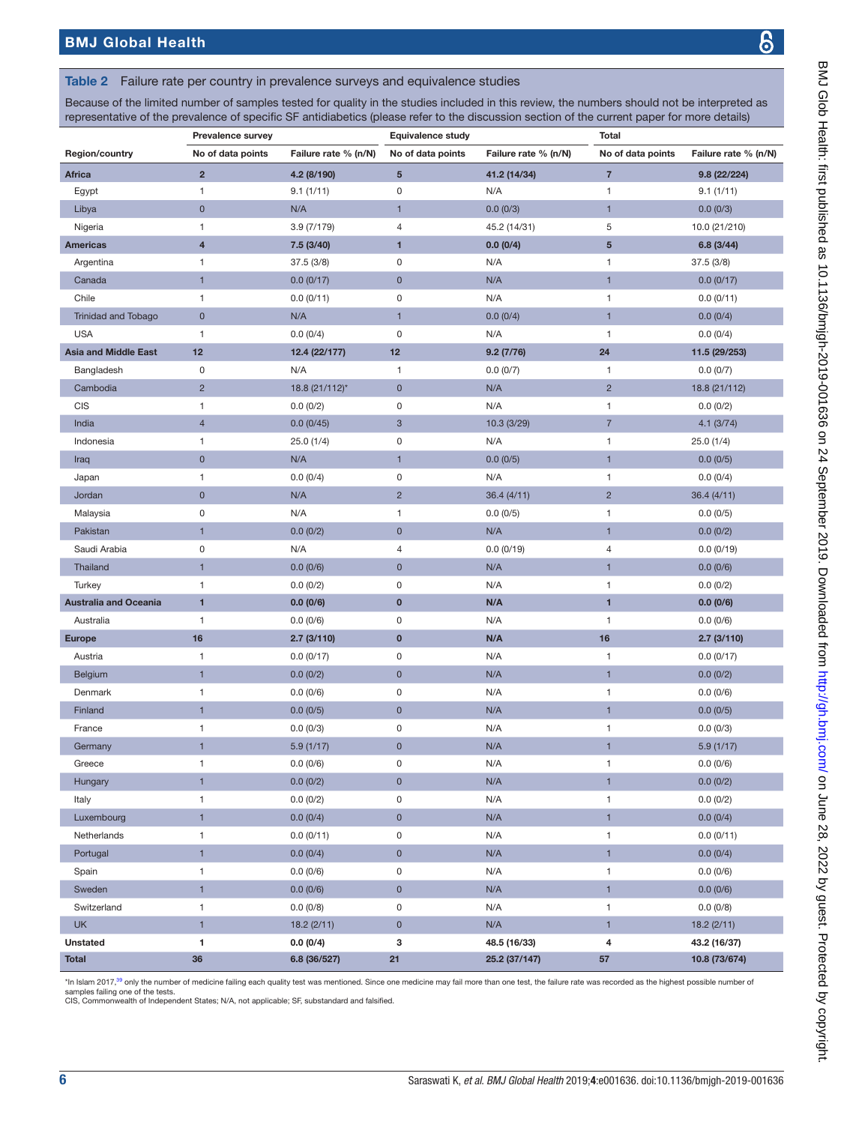<span id="page-5-0"></span>Table 2 Failure rate per country in prevalence surveys and equivalence studies

Because of the limited number of samples tested for quality in the studies included in this review, the numbers should not be interpreted as representative of the prevalence of specific SF antidiabetics (please refer to the discussion section of the current paper for more details)

|                              | <b>Prevalence survey</b> |                      |                   | <b>Equivalence study</b> |                   | $\cdots$<br>Total    |  |
|------------------------------|--------------------------|----------------------|-------------------|--------------------------|-------------------|----------------------|--|
| Region/country               | No of data points        | Failure rate % (n/N) | No of data points | Failure rate % (n/N)     | No of data points | Failure rate % (n/N) |  |
| <b>Africa</b>                | $\overline{2}$           | 4.2 (8/190)          | 5                 | 41.2 (14/34)             | $\overline{7}$    | 9.8 (22/224)         |  |
| Egypt                        | $\mathbf{1}$             | 9.1(1/11)            | 0                 | N/A                      | $\mathbf{1}$      | 9.1(1/11)            |  |
| Libya                        | $\pmb{0}$                | N/A                  | $\mathbf{1}$      | 0.0(0/3)                 | $\mathbf{1}$      | 0.0(0/3)             |  |
| Nigeria                      | $\mathbf{1}$             | 3.9(7/179)           | $\sqrt{4}$        | 45.2 (14/31)             | 5                 | 10.0 (21/210)        |  |
| <b>Americas</b>              | $\overline{4}$           | 7.5 (3/40)           | 1                 | 0.0(0/4)                 | $5\phantom{.0}$   | 6.8(3/44)            |  |
| Argentina                    | $\mathbf{1}$             | 37.5(3/8)            | 0                 | N/A                      | $\mathbf{1}$      | 37.5(3/8)            |  |
| Canada                       | $\overline{1}$           | 0.0(0/17)            | $\overline{0}$    | N/A                      | $\overline{1}$    | 0.0(0/17)            |  |
| Chile                        | $\mathbf{1}$             | 0.0(0/11)            | 0                 | N/A                      | $\mathbf{1}$      | 0.0(0/11)            |  |
| <b>Trinidad and Tobago</b>   | $\mathbf 0$              | N/A                  | $\mathbf{1}$      | 0.0(0/4)                 | $\mathbf{1}$      | 0.0(0/4)             |  |
| <b>USA</b>                   | $\mathbf{1}$             | 0.0(0/4)             | $\pmb{0}$         | N/A                      | $\mathbf{1}$      | 0.0(0/4)             |  |
| <b>Asia and Middle East</b>  | 12                       | 12.4 (22/177)        | 12                | 9.2(7/76)                | 24                | 11.5 (29/253)        |  |
| Bangladesh                   | $\mathbf 0$              | N/A                  | $\mathbf{1}$      | 0.0(0/7)                 | $\mathbf{1}$      | 0.0(0/7)             |  |
| Cambodia                     | $\overline{2}$           | 18.8 (21/112)*       | $\pmb{0}$         | N/A                      | $\overline{2}$    | 18.8 (21/112)        |  |
| <b>CIS</b>                   | $\mathbf{1}$             | 0.0(0/2)             | 0                 | N/A                      | $\mathbf{1}$      | 0.0(0/2)             |  |
| India                        | $\overline{4}$           | 0.0(0/45)            | 3                 | 10.3(3/29)               | $\overline{7}$    | 4.1(3/74)            |  |
| Indonesia                    | $\mathbf{1}$             | 25.0(1/4)            | 0                 | N/A                      | $\mathbf{1}$      | 25.0(1/4)            |  |
| Iraq                         | $\pmb{0}$                | N/A                  | $\mathbf{1}$      | 0.0(0/5)                 | $\mathbf{1}$      | 0.0(0/5)             |  |
| Japan                        | $\mathbf{1}$             | 0.0(0/4)             | 0                 | N/A                      | $\mathbf{1}$      | 0.0(0/4)             |  |
| Jordan                       | $\pmb{0}$                | N/A                  | $\overline{c}$    | 36.4(4/11)               | $\overline{c}$    | 36.4(4/11)           |  |
| Malaysia                     | $\mathsf 0$              | N/A                  | 1                 | 0.0(0/5)                 | $\mathbf{1}$      | 0.0(0/5)             |  |
| Pakistan                     | $\mathbf{1}$             | 0.0(0/2)             | $\pmb{0}$         | N/A                      | $\mathbf{1}$      | 0.0(0/2)             |  |
| Saudi Arabia                 | $\mathsf{O}\xspace$      | N/A                  | 4                 | 0.0(0/19)                | $\overline{4}$    | 0.0(0/19)            |  |
| Thailand                     | $\mathbf{1}$             | 0.0(0/6)             | $\overline{0}$    | N/A                      | $\mathbf{1}$      | 0.0(0/6)             |  |
| Turkey                       | $\mathbf{1}$             | 0.0(0/2)             | 0                 | N/A                      | $\mathbf{1}$      | 0.0(0/2)             |  |
| <b>Australia and Oceania</b> | $\mathbf{1}$             | 0.0(0/6)             | $\bf{0}$          | N/A                      | $\blacksquare$    | 0.0(0/6)             |  |
| Australia                    | $\mathbf{1}$             | 0.0(0/6)             | $\mathsf 0$       | N/A                      | $\mathbf{1}$      | 0.0(0/6)             |  |
| <b>Europe</b>                | 16                       | 2.7(3/110)           | $\bf{0}$          | N/A                      | 16                | 2.7(3/110)           |  |
| Austria                      | $\mathbf{1}$             | 0.0(0/17)            | 0                 | N/A                      | $\mathbf{1}$      | 0.0(0/17)            |  |
| Belgium                      | $\mathbf{1}$             | 0.0(0/2)             | $\bf 0$           | N/A                      | $\mathbf{1}$      | 0.0(0/2)             |  |
| Denmark                      | $\mathbf{1}$             | 0.0(0/6)             | $\mathsf 0$       | N/A                      | $\mathbf{1}$      | 0.0(0/6)             |  |
| Finland                      | $\mathbf{1}$             | 0.0(0/5)             | 0                 | N/A                      | $\mathbf{1}$      | 0.0(0/5)             |  |
| France                       | $\mathbf{1}$             | 0.0(0/3)             | $\mathsf 0$       | N/A                      | $\mathbf{1}$      | 0.0(0/3)             |  |
| Germany                      | $\mathbf{1}$             | 5.9 (1/17)           | $\overline{0}$    | N/A                      | $\mathbf{1}$      | 5.9(1/17)            |  |
| Greece                       | $\mathbf{1}$             | 0.0(0/6)             | $\mathsf 0$       | N/A                      | $\mathbf{1}$      | 0.0(0/6)             |  |
| Hungary                      | $\overline{1}$           | 0.0(0/2)             | $\overline{0}$    | N/A                      | $\overline{1}$    | 0.0(0/2)             |  |
| Italy                        | $\mathbf{1}$             | 0.0(0/2)             | $\mathsf 0$       | N/A                      | $\mathbf{1}$      | 0.0(0/2)             |  |
| Luxembourg                   | $\overline{1}$           | 0.0(0/4)             | $\mathbf 0$       | N/A                      | $\mathbf{1}$      | 0.0(0/4)             |  |
| Netherlands                  | $\mathbf 1$              | 0.0(0/11)            | $\mathsf 0$       | N/A                      | $\mathbf{1}$      | 0.0(0/11)            |  |
| Portugal                     | $\overline{1}$           | 0.0(0/4)             | $\pmb{0}$         | N/A                      | $\mathbf{1}$      | 0.0(0/4)             |  |
| Spain                        | $\mathbf{1}$             | 0.0(0/6)             | $\mathsf 0$       | N/A                      | $\mathbf{1}$      | 0.0(0/6)             |  |
| Sweden                       | $\mathbf{1}$             | 0.0(0/6)             | $\pmb{0}$         | N/A                      | $\mathbf{1}$      | 0.0(0/6)             |  |
| Switzerland                  | $\mathbf{1}$             | 0.0(0/8)             | $\mathsf 0$       | N/A                      | $\mathbf{1}$      | 0.0(0/8)             |  |
| <b>UK</b>                    | $\mathbf{1}$             | 18.2(2/11)           | $\overline{0}$    | N/A                      | $\mathbf{1}$      | 18.2(2/11)           |  |
| <b>Unstated</b>              | $\mathbf{1}$             | 0.0(0/4)             | 3                 | 48.5 (16/33)             | $\pmb{4}$         | 43.2 (16/37)         |  |
| <b>Total</b>                 | $36\,$                   | 6.8 (36/527)         | 21                | 25.2 (37/147)            | 57                | 10.8 (73/674)        |  |

BMJ Glob Health: first published as 10.1136/bmjgh-2019-001636 on 24 September 2019. Downloaded from http://gh.bmj.com/ on June 28, 2022 by guest. Protected by copyright. BMJ Glob Health: first published as 10.1136/bmjgh-2019-001636 on 24 September 2019. Downloaded from <http://gh.bmj.com/> on June 28, 2022 by guest. Protected by copyright.

\*In Islam 2017,<sup>39</sup> only the number of medicine failing each quality test was mentioned. Since one medicine may fail more than one test, the failure rate was recorded as the highest possible number of samples failing one of the tests. CIS, Commonwealth of Independent States; N/A, not applicable; SF, substandard and falsified.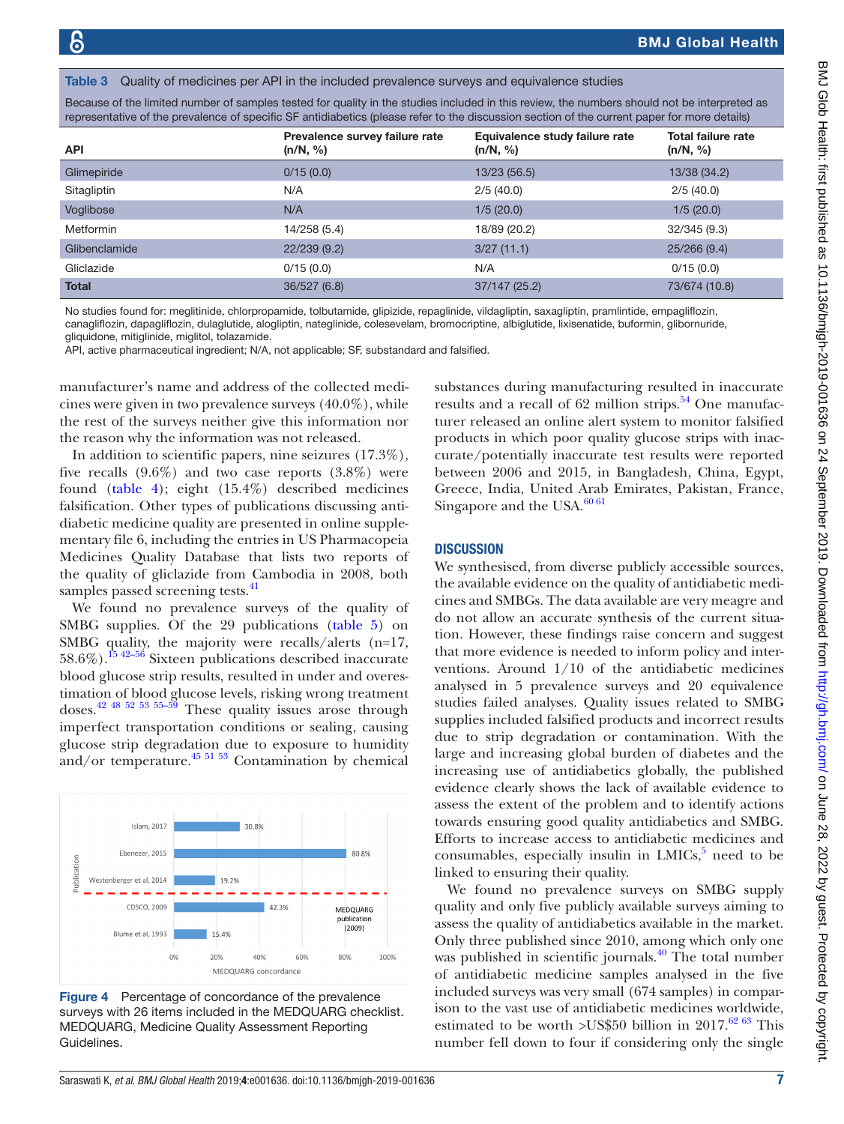<span id="page-6-0"></span>Table 3 Quality of medicines per API in the included prevalence surveys and equivalence studies

Because of the limited number of samples tested for quality in the studies included in this review, the numbers should not be interpreted as representative of the prevalence of specific SF antidiabetics (please refer to the discussion section of the current paper for more details)

| <b>API</b>    | Prevalence survey failure rate<br>(n/N, %) | Equivalence study failure rate<br>(n/N, %) | <b>Total failure rate</b><br>(n/N, %) |
|---------------|--------------------------------------------|--------------------------------------------|---------------------------------------|
| Glimepiride   | 0/15(0.0)                                  | 13/23(56.5)                                | 13/38 (34.2)                          |
| Sitagliptin   | N/A                                        | 2/5(40.0)                                  | 2/5(40.0)                             |
| Voglibose     | N/A                                        | 1/5(20.0)                                  | 1/5(20.0)                             |
| Metformin     | 14/258 (5.4)                               | 18/89 (20.2)                               | 32/345 (9.3)                          |
| Glibenclamide | 22/239(9.2)                                | 3/27(11.1)                                 | 25/266 (9.4)                          |
| Gliclazide    | 0/15(0.0)                                  | N/A                                        | 0/15(0.0)                             |
| <b>Total</b>  | 36/527(6.8)                                | 37/147 (25.2)                              | 73/674 (10.8)                         |

No studies found for: meglitinide, chlorpropamide, tolbutamide, glipizide, repaglinide, vildagliptin, saxagliptin, pramlintide, empagliflozin, canagliflozin, dapagliflozin, dulaglutide, alogliptin, nateglinide, colesevelam, bromocriptine, albiglutide, lixisenatide, buformin, glibornuride, gliquidone, mitiglinide, miglitol, tolazamide.

API, active pharmaceutical ingredient; N/A, not applicable; SF, substandard and falsified.

manufacturer's name and address of the collected medicines were given in two prevalence surveys (40.0%), while the rest of the surveys neither give this information nor the reason why the information was not released.

In addition to scientific papers, nine seizures (17.3%), five recalls  $(9.6\%)$  and two case reports  $(3.8\%)$  were found [\(table](#page-7-0) 4); eight (15.4%) described medicines falsification. Other types of publications discussing antidiabetic medicine quality are presented in [online supple](https://dx.doi.org/10.1136/bmjgh-2019-001636)[mentary file 6,](https://dx.doi.org/10.1136/bmjgh-2019-001636) including the entries in US Pharmacopeia Medicines Quality Database that lists two reports of the quality of gliclazide from Cambodia in 2008, both samples passed screening tests.<sup>[41](#page-11-10)</sup>

We found no prevalence surveys of the quality of SMBG supplies. Of the 29 publications ([table](#page-8-0) 5) on SMBG quality, the majority were recalls/alerts (n=17, 58.6%).<sup>15 42–56</sup> Sixteen publications described inaccurate blood glucose strip results, resulted in under and overestimation of blood glucose levels, risking wrong treatment doses[.42 48 52 53 55–59](#page-11-11) These quality issues arose through imperfect transportation conditions or sealing, causing glucose strip degradation due to exposure to humidity and/or temperature.<sup>[45 51 53](#page-11-12)</sup> Contamination by chemical



<span id="page-6-1"></span>Figure 4 Percentage of concordance of the prevalence surveys with 26 items included in the MEDQUARG checklist. MEDQUARG, Medicine Quality Assessment Reporting Guidelines.

substances during manufacturing resulted in inaccurate results and a recall of  $62$  million strips.<sup>54</sup> One manufacturer released an online alert system to monitor falsified products in which poor quality glucose strips with inaccurate/potentially inaccurate test results were reported between 2006 and 2015, in Bangladesh, China, Egypt, Greece, India, United Arab Emirates, Pakistan, France, Singapore and the USA.<sup>60 61</sup>

## **DISCUSSION**

We synthesised, from diverse publicly accessible sources, the available evidence on the quality of antidiabetic medicines and SMBGs. The data available are very meagre and do not allow an accurate synthesis of the current situation. However, these findings raise concern and suggest that more evidence is needed to inform policy and interventions. Around 1/10 of the antidiabetic medicines analysed in 5 prevalence surveys and 20 equivalence studies failed analyses. Quality issues related to SMBG supplies included falsified products and incorrect results due to strip degradation or contamination. With the large and increasing global burden of diabetes and the increasing use of antidiabetics globally, the published evidence clearly shows the lack of available evidence to assess the extent of the problem and to identify actions towards ensuring good quality antidiabetics and SMBG. Efforts to increase access to antidiabetic medicines and consumables, especially insulin in  $LMICs$ , need to be linked to ensuring their quality.

We found no prevalence surveys on SMBG supply quality and only five publicly available surveys aiming to assess the quality of antidiabetics available in the market. Only three published since 2010, among which only one was published in scientific journals.<sup>40</sup> The total number of antidiabetic medicine samples analysed in the five included surveys was very small (674 samples) in comparison to the vast use of antidiabetic medicines worldwide, estimated to be worth >US\$50 billion in  $2017<sup>6263</sup>$  This number fell down to four if considering only the single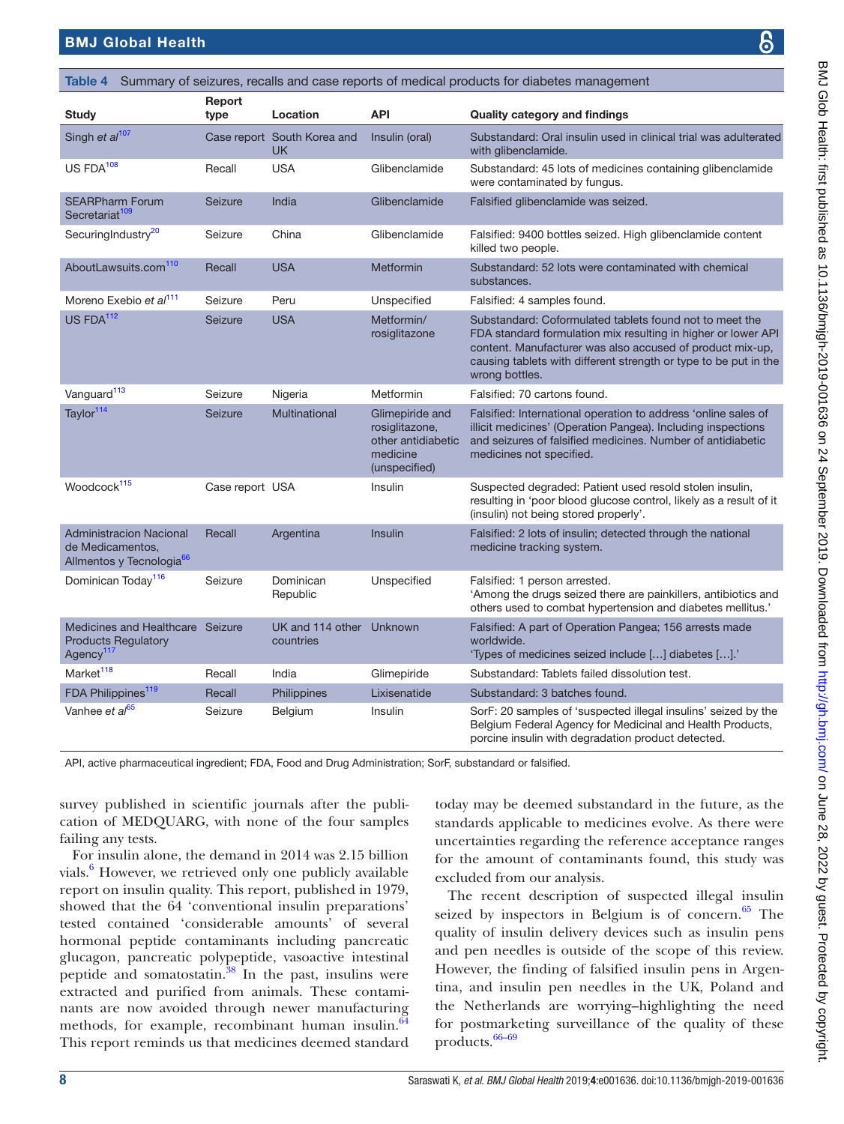<span id="page-7-0"></span>

| Study                                                                                      | Report<br>type  | Location                                 | <b>API</b>                                                                           | <b>Quality category and findings</b>                                                                                                                                                                                                                                        |
|--------------------------------------------------------------------------------------------|-----------------|------------------------------------------|--------------------------------------------------------------------------------------|-----------------------------------------------------------------------------------------------------------------------------------------------------------------------------------------------------------------------------------------------------------------------------|
| Singh et al <sup>107</sup>                                                                 |                 | Case report South Korea and<br><b>UK</b> | Insulin (oral)                                                                       | Substandard: Oral insulin used in clinical trial was adulterated<br>with glibenclamide.                                                                                                                                                                                     |
| US FDA <sup>108</sup>                                                                      | Recall          | <b>USA</b>                               | Glibenclamide                                                                        | Substandard: 45 lots of medicines containing glibenclamide<br>were contaminated by fungus.                                                                                                                                                                                  |
| <b>SEARPharm Forum</b><br>Secretariat <sup>109</sup>                                       | Seizure         | India                                    | Glibenclamide                                                                        | Falsified glibenclamide was seized.                                                                                                                                                                                                                                         |
| SecuringIndustry <sup>20</sup>                                                             | Seizure         | China                                    | Glibenclamide                                                                        | Falsified: 9400 bottles seized. High glibenclamide content<br>killed two people.                                                                                                                                                                                            |
| AboutLawsuits.com <sup>110</sup>                                                           | Recall          | <b>USA</b>                               | Metformin                                                                            | Substandard: 52 lots were contaminated with chemical<br>substances.                                                                                                                                                                                                         |
| Moreno Exebio e <i>t al</i> <sup>111</sup>                                                 | Seizure         | Peru                                     | Unspecified                                                                          | Falsified: 4 samples found.                                                                                                                                                                                                                                                 |
| US FDA <sup>112</sup>                                                                      | Seizure         | <b>USA</b>                               | Metformin/<br>rosiglitazone                                                          | Substandard: Coformulated tablets found not to meet the<br>FDA standard formulation mix resulting in higher or lower API<br>content. Manufacturer was also accused of product mix-up,<br>causing tablets with different strength or type to be put in the<br>wrong bottles. |
| Vanguard <sup>113</sup>                                                                    | Seizure         | Nigeria                                  | Metformin                                                                            | Falsified: 70 cartons found.                                                                                                                                                                                                                                                |
| Taylor <sup>114</sup>                                                                      | Seizure         | Multinational                            | Glimepiride and<br>rosiglitazone,<br>other antidiabetic<br>medicine<br>(unspecified) | Falsified: International operation to address 'online sales of<br>illicit medicines' (Operation Pangea). Including inspections<br>and seizures of falsified medicines. Number of antidiabetic<br>medicines not specified.                                                   |
| Woodcock <sup>115</sup>                                                                    | Case report USA |                                          | Insulin                                                                              | Suspected degraded: Patient used resold stolen insulin,<br>resulting in 'poor blood glucose control, likely as a result of it<br>(insulin) not being stored properly'.                                                                                                      |
| <b>Administracion Nacional</b><br>de Medicamentos,<br>Allmentos y Tecnologia <sup>66</sup> | Recall          | Argentina                                | Insulin                                                                              | Falsified: 2 lots of insulin; detected through the national<br>medicine tracking system.                                                                                                                                                                                    |
| Dominican Today <sup>116</sup>                                                             | Seizure         | Dominican<br>Republic                    | Unspecified                                                                          | Falsified: 1 person arrested.<br>'Among the drugs seized there are painkillers, antibiotics and<br>others used to combat hypertension and diabetes mellitus.'                                                                                                               |
| Medicines and Healthcare Seizure<br><b>Products Regulatory</b><br>Agency <sup>117</sup>    |                 | UK and 114 other<br>countries            | Unknown                                                                              | Falsified: A part of Operation Pangea; 156 arrests made<br>worldwide.<br>'Types of medicines seized include [] diabetes [].'                                                                                                                                                |
| Market <sup>118</sup>                                                                      | Recall          | India                                    | Glimepiride                                                                          | Substandard: Tablets failed dissolution test.                                                                                                                                                                                                                               |
| FDA Philippines <sup>119</sup>                                                             | Recall          | Philippines                              | Lixisenatide                                                                         | Substandard: 3 batches found.                                                                                                                                                                                                                                               |
| Vanhee e <i>t al<sup>65</sup></i>                                                          | Seizure         | <b>Belgium</b>                           | Insulin                                                                              | SorF: 20 samples of 'suspected illegal insulins' seized by the<br>Belgium Federal Agency for Medicinal and Health Products,<br>porcine insulin with degradation product detected.                                                                                           |

survey published in scientific journals after the publication of MEDQUARG, with none of the four samples failing any tests.

For insulin alone, the demand in 2014 was 2.15 billion vials.<sup>[6](#page-10-4)</sup> However, we retrieved only one publicly available report on insulin quality. This report, published in 1979, showed that the 64 'conventional insulin preparations' tested contained 'considerable amounts' of several hormonal peptide contaminants including pancreatic glucagon, pancreatic polypeptide, vasoactive intestinal peptide and somatostatin.<sup>[38](#page-11-7)</sup> In the past, insulins were extracted and purified from animals. These contaminants are now avoided through newer manufacturing methods, for example, recombinant human insulin.<sup>[64](#page-11-18)</sup> This report reminds us that medicines deemed standard

today may be deemed substandard in the future, as the standards applicable to medicines evolve. As there were uncertainties regarding the reference acceptance ranges for the amount of contaminants found, this study was excluded from our analysis.

The recent description of suspected illegal insulin seized by inspectors in Belgium is of concern.<sup>65</sup> The quality of insulin delivery devices such as insulin pens and pen needles is outside of the scope of this review. However, the finding of falsified insulin pens in Argentina, and insulin pen needles in the UK, Poland and the Netherlands are worrying–highlighting the need for postmarketing surveillance of the quality of these products.<sup>[66–69](#page-11-16)</sup>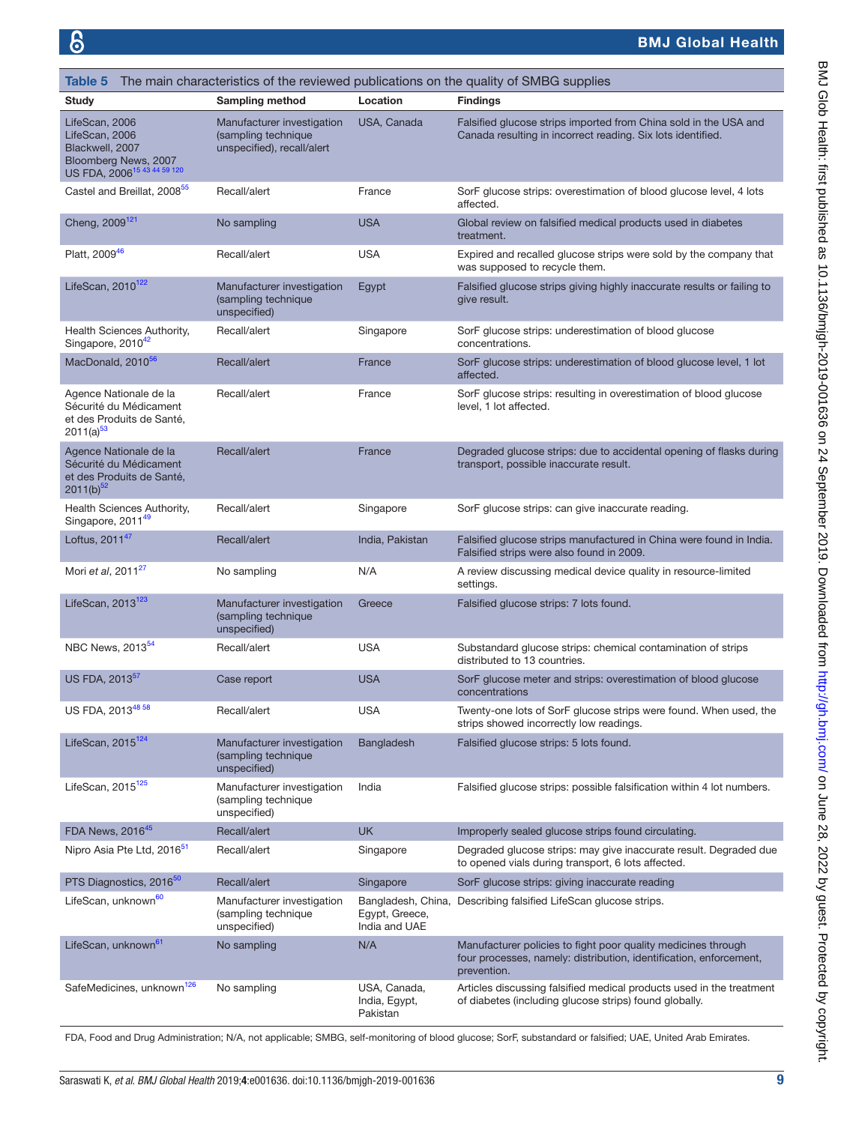န

# BMJ Global Health

<span id="page-8-0"></span>

| Table 5 The main characteristics of the reviewed publications on the quality of SMBG supplies                          |                                                                                 |                                           |                                                                                                                                                    |  |  |
|------------------------------------------------------------------------------------------------------------------------|---------------------------------------------------------------------------------|-------------------------------------------|----------------------------------------------------------------------------------------------------------------------------------------------------|--|--|
| <b>Study</b>                                                                                                           | <b>Sampling method</b>                                                          | Location                                  | <b>Findings</b>                                                                                                                                    |  |  |
| LifeScan, 2006<br>LifeScan, 2006<br>Blackwell, 2007<br>Bloomberg News, 2007<br>US FDA, 2006 <sup>15 43</sup> 44 59 120 | Manufacturer investigation<br>(sampling technique<br>unspecified), recall/alert | USA, Canada                               | Falsified glucose strips imported from China sold in the USA and<br>Canada resulting in incorrect reading. Six lots identified.                    |  |  |
| Castel and Breillat, 2008 <sup>55</sup>                                                                                | Recall/alert                                                                    | France                                    | SorF glucose strips: overestimation of blood glucose level, 4 lots<br>affected.                                                                    |  |  |
| Cheng, 2009 <sup>121</sup>                                                                                             | No sampling                                                                     | <b>USA</b>                                | Global review on falsified medical products used in diabetes<br>treatment.                                                                         |  |  |
| Platt, 200946                                                                                                          | Recall/alert                                                                    | <b>USA</b>                                | Expired and recalled glucose strips were sold by the company that<br>was supposed to recycle them.                                                 |  |  |
| LifeScan, 2010 <sup>122</sup>                                                                                          | Manufacturer investigation<br>(sampling technique<br>unspecified)               | Egypt                                     | Falsified glucose strips giving highly inaccurate results or failing to<br>give result.                                                            |  |  |
| Health Sciences Authority,<br>Singapore, 2010 <sup>42</sup>                                                            | Recall/alert                                                                    | Singapore                                 | SorF glucose strips: underestimation of blood glucose<br>concentrations.                                                                           |  |  |
| MacDonald, 2010 <sup>56</sup>                                                                                          | Recall/alert                                                                    | France                                    | SorF glucose strips: underestimation of blood glucose level, 1 lot<br>affected.                                                                    |  |  |
| Agence Nationale de la<br>Sécurité du Médicament<br>et des Produits de Santé,<br>$2011(a)^{53}$                        | Recall/alert                                                                    | France                                    | SorF glucose strips: resulting in overestimation of blood glucose<br>level, 1 lot affected.                                                        |  |  |
| Agence Nationale de la<br>Sécurité du Médicament<br>et des Produits de Santé,<br>$2011(b)^{52}$                        | Recall/alert                                                                    | France                                    | Degraded glucose strips: due to accidental opening of flasks during<br>transport, possible inaccurate result.                                      |  |  |
| Health Sciences Authority,<br>Singapore, 2011 <sup>49</sup>                                                            | Recall/alert                                                                    | Singapore                                 | SorF glucose strips: can give inaccurate reading.                                                                                                  |  |  |
| Loftus, 2011 <sup>47</sup>                                                                                             | Recall/alert                                                                    | India, Pakistan                           | Falsified glucose strips manufactured in China were found in India.<br>Falsified strips were also found in 2009.                                   |  |  |
| Mori et al, 2011 <sup>27</sup>                                                                                         | No sampling                                                                     | N/A                                       | A review discussing medical device quality in resource-limited<br>settings.                                                                        |  |  |
| LifeScan, 2013 <sup>123</sup>                                                                                          | Manufacturer investigation<br>(sampling technique<br>unspecified)               | Greece                                    | Falsified glucose strips: 7 lots found.                                                                                                            |  |  |
| NBC News, 2013 <sup>54</sup>                                                                                           | Recall/alert                                                                    | <b>USA</b>                                | Substandard glucose strips: chemical contamination of strips<br>distributed to 13 countries.                                                       |  |  |
| US FDA, 2013 <sup>57</sup>                                                                                             | Case report                                                                     | <b>USA</b>                                | SorF glucose meter and strips: overestimation of blood glucose<br>concentrations                                                                   |  |  |
| US FDA, 201348 58                                                                                                      | Recall/alert                                                                    | <b>USA</b>                                | Twenty-one lots of SorF glucose strips were found. When used, the<br>strips showed incorrectly low readings.                                       |  |  |
| LifeScan, $2015^{124}$                                                                                                 | Manufacturer investigation<br>(sampling technique<br>unspecified)               | <b>Bangladesh</b>                         | Falsified glucose strips: 5 lots found.                                                                                                            |  |  |
| LifeScan, 2015 <sup>125</sup>                                                                                          | Manufacturer investigation<br>(sampling technique<br>unspecified)               | India                                     | Falsified glucose strips: possible falsification within 4 lot numbers.                                                                             |  |  |
| FDA News, 201645                                                                                                       | Recall/alert                                                                    | UK                                        | Improperly sealed glucose strips found circulating.                                                                                                |  |  |
| Nipro Asia Pte Ltd, 2016 <sup>51</sup>                                                                                 | Recall/alert                                                                    | Singapore                                 | Degraded glucose strips: may give inaccurate result. Degraded due<br>to opened vials during transport, 6 lots affected.                            |  |  |
| PTS Diagnostics, 2016 <sup>50</sup>                                                                                    | Recall/alert                                                                    | Singapore                                 | SorF glucose strips: giving inaccurate reading                                                                                                     |  |  |
| LifeScan, unknown <sup>60</sup>                                                                                        | Manufacturer investigation<br>(sampling technique<br>unspecified)               | Egypt, Greece,<br>India and UAE           | Bangladesh, China, Describing falsified LifeScan glucose strips.                                                                                   |  |  |
| LifeScan, unknown <sup>61</sup>                                                                                        | No sampling                                                                     | N/A                                       | Manufacturer policies to fight poor quality medicines through<br>four processes, namely: distribution, identification, enforcement,<br>prevention. |  |  |
| SafeMedicines, unknown <sup>126</sup>                                                                                  | No sampling                                                                     | USA, Canada,<br>India, Egypt,<br>Pakistan | Articles discussing falsified medical products used in the treatment<br>of diabetes (including glucose strips) found globally.                     |  |  |

FDA, Food and Drug Administration; N/A, not applicable; SMBG, self-monitoring of blood glucose; SorF, substandard or falsified; UAE, United Arab Emirates.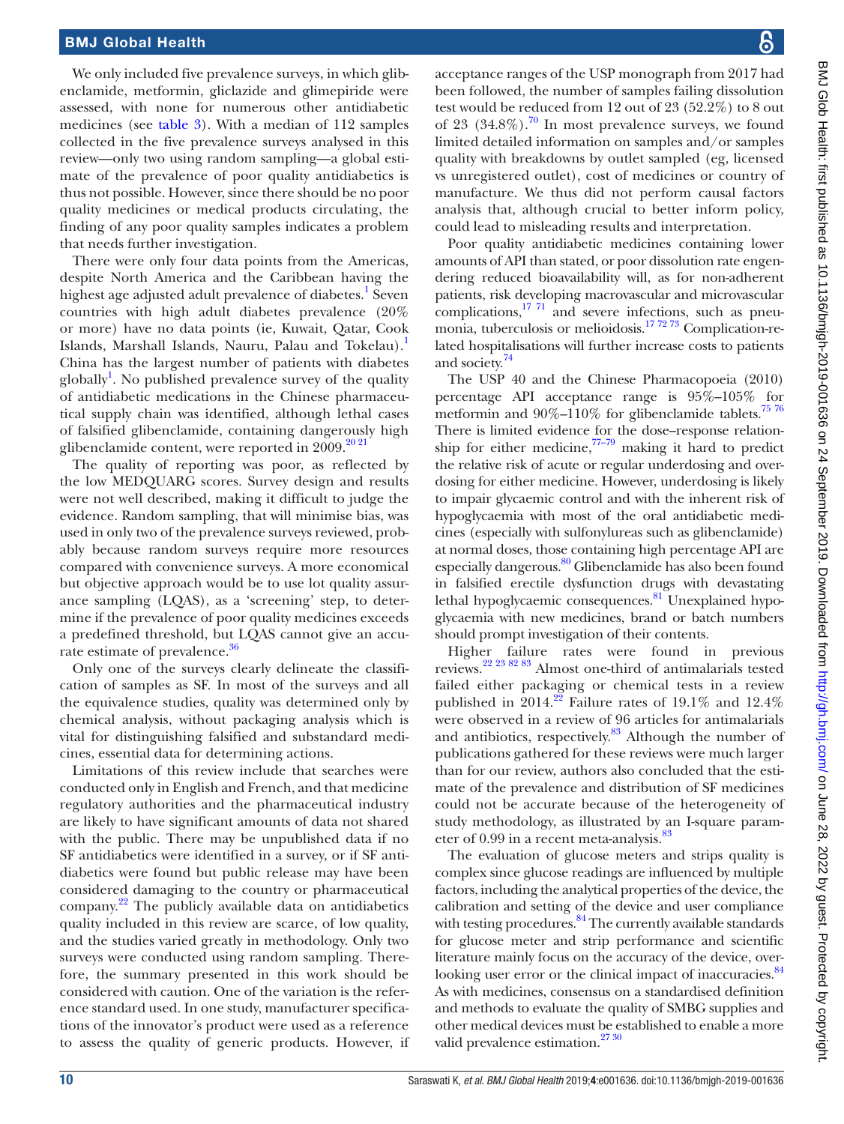We only included five prevalence surveys, in which glibenclamide, metformin, gliclazide and glimepiride were assessed, with none for numerous other antidiabetic medicines (see [table](#page-6-0) 3). With a median of 112 samples collected in the five prevalence surveys analysed in this review—only two using random sampling—a global estimate of the prevalence of poor quality antidiabetics is thus not possible. However, since there should be no poor quality medicines or medical products circulating, the finding of any poor quality samples indicates a problem that needs further investigation.

There were only four data points from the Americas, despite North America and the Caribbean having the highest age adjusted adult prevalence of diabetes.<sup>1</sup> Seven countries with high adult diabetes prevalence (20% or more) have no data points (ie, Kuwait, Qatar, Cook Islands, Marshall Islands, Nauru, Palau and Tokelau).<sup>[1](#page-10-0)</sup> China has the largest number of patients with diabetes globally<sup>[1](#page-10-0)</sup>. No published prevalence survey of the quality of antidiabetic medications in the Chinese pharmaceutical supply chain was identified, although lethal cases of falsified glibenclamide, containing dangerously high glibenclamide content, were reported in 2009.<sup>[20 21](#page-10-13)</sup>

The quality of reporting was poor, as reflected by the low MEDQUARG scores. Survey design and results were not well described, making it difficult to judge the evidence. Random sampling, that will minimise bias, was used in only two of the prevalence surveys reviewed, probably because random surveys require more resources compared with convenience surveys. A more economical but objective approach would be to use lot quality assurance sampling (LQAS), as a 'screening' step, to determine if the prevalence of poor quality medicines exceeds a predefined threshold, but LQAS cannot give an accu-rate estimate of prevalence.<sup>[36](#page-11-5)</sup>

Only one of the surveys clearly delineate the classification of samples as SF. In most of the surveys and all the equivalence studies, quality was determined only by chemical analysis, without packaging analysis which is vital for distinguishing falsified and substandard medicines, essential data for determining actions.

Limitations of this review include that searches were conducted only in English and French, and that medicine regulatory authorities and the pharmaceutical industry are likely to have significant amounts of data not shared with the public. There may be unpublished data if no SF antidiabetics were identified in a survey, or if SF antidiabetics were found but public release may have been considered damaging to the country or pharmaceutical company.[22](#page-10-14) The publicly available data on antidiabetics quality included in this review are scarce, of low quality, and the studies varied greatly in methodology. Only two surveys were conducted using random sampling. Therefore, the summary presented in this work should be considered with caution. One of the variation is the reference standard used. In one study, manufacturer specifications of the innovator's product were used as a reference to assess the quality of generic products. However, if

acceptance ranges of the USP monograph from 2017 had been followed, the number of samples failing dissolution test would be reduced from 12 out of 23 (52.2%) to 8 out of 23  $(34.8\%)$ .<sup>70</sup> In most prevalence surveys, we found limited detailed information on samples and/or samples quality with breakdowns by outlet sampled (eg, licensed vs unregistered outlet), cost of medicines or country of manufacture. We thus did not perform causal factors analysis that, although crucial to better inform policy, could lead to misleading results and interpretation.

Poor quality antidiabetic medicines containing lower amounts of API than stated, or poor dissolution rate engendering reduced bioavailability will, as for non-adherent patients, risk developing macrovascular and microvascular complications, $1771$  and severe infections, such as pneumonia, tuberculosis or melioidosis[.17 72 73](#page-10-12) Complication-related hospitalisations will further increase costs to patients and society.<sup>74</sup>

The USP 40 and the Chinese Pharmacopoeia (2010) percentage API acceptance range is 95%–105% for metformin and  $90\%$ –110% for glibenclamide tablets.<sup>75 76</sup> There is limited evidence for the dose–response relationship for either medicine, $77-79$  making it hard to predict the relative risk of acute or regular underdosing and overdosing for either medicine. However, underdosing is likely to impair glycaemic control and with the inherent risk of hypoglycaemia with most of the oral antidiabetic medicines (especially with sulfonylureas such as glibenclamide) at normal doses, those containing high percentage API are especially dangerous.<sup>80</sup> Glibenclamide has also been found in falsified erectile dysfunction drugs with devastating lethal hypoglycaemic consequences.<sup>81</sup> Unexplained hypoglycaemia with new medicines, brand or batch numbers should prompt investigation of their contents.

Higher failure rates were found in previous reviews.[22 23 82 83](#page-10-14) Almost one-third of antimalarials tested failed either packaging or chemical tests in a review published in  $2014^{22}$  Failure rates of 19.1% and 12.4% were observed in a review of 96 articles for antimalarials and antibiotics, respectively. $83$  Although the number of publications gathered for these reviews were much larger than for our review, authors also concluded that the estimate of the prevalence and distribution of SF medicines could not be accurate because of the heterogeneity of study methodology, as illustrated by an I-square parameter of 0.99 in a recent meta-analysis.<sup>83</sup>

The evaluation of glucose meters and strips quality is complex since glucose readings are influenced by multiple factors, including the analytical properties of the device, the calibration and setting of the device and user compliance with testing procedures.<sup>84</sup> The currently available standards for glucose meter and strip performance and scientific literature mainly focus on the accuracy of the device, over-looking user error or the clinical impact of inaccuracies.<sup>[84](#page-12-42)</sup> As with medicines, consensus on a standardised definition and methods to evaluate the quality of SMBG supplies and other medical devices must be established to enable a more valid prevalence estimation.<sup>[27 30](#page-11-26)</sup>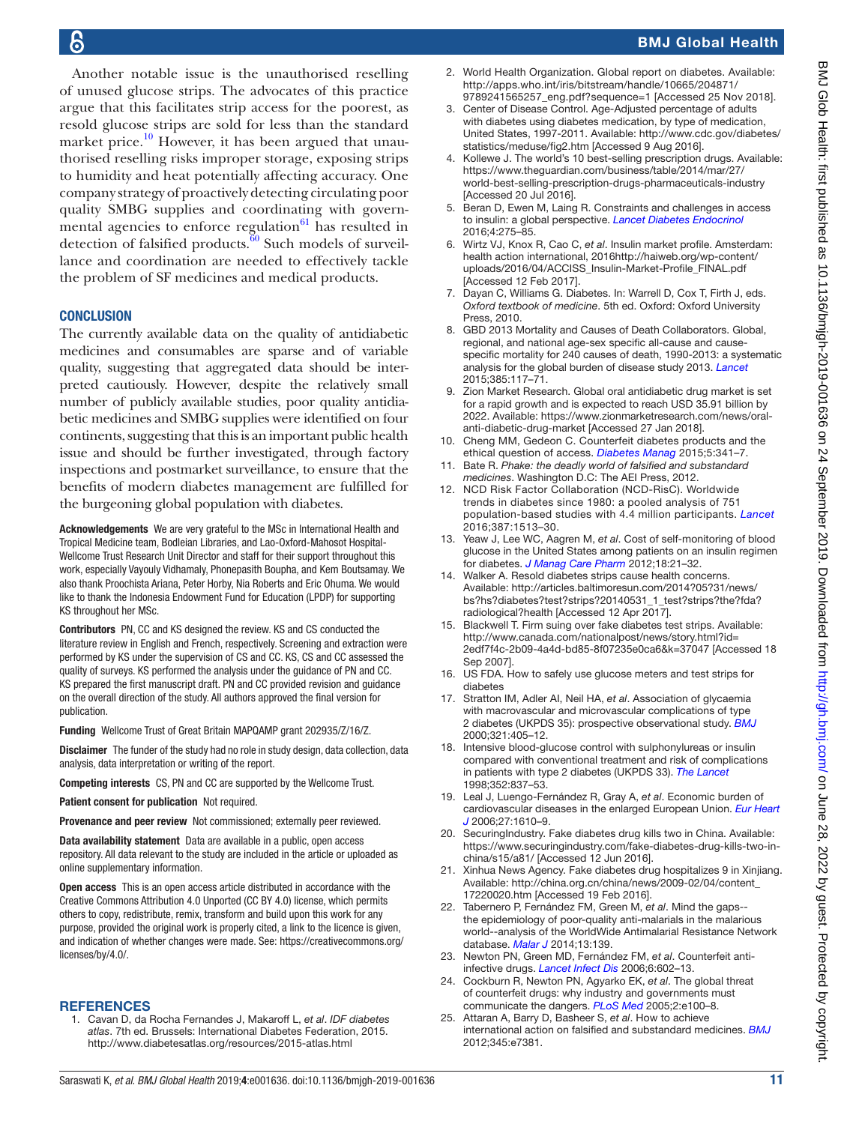Another notable issue is the unauthorised reselling of unused glucose strips. The advocates of this practice argue that this facilitates strip access for the poorest, as resold glucose strips are sold for less than the standard market price.<sup>[10](#page-10-7)</sup> However, it has been argued that unauthorised reselling risks improper storage, exposing strips to humidity and heat potentially affecting accuracy. One company strategy of proactively detecting circulating poor quality SMBG supplies and coordinating with governmental agencies to enforce regulation $^{61}$  has resulted in detection of falsified products. $60$  Such models of surveillance and coordination are needed to effectively tackle the problem of SF medicines and medical products.

## **CONCLUSION**

The currently available data on the quality of antidiabetic medicines and consumables are sparse and of variable quality, suggesting that aggregated data should be interpreted cautiously. However, despite the relatively small number of publicly available studies, poor quality antidiabetic medicines and SMBG supplies were identified on four continents, suggesting that this is an important public health issue and should be further investigated, through factory inspections and postmarket surveillance, to ensure that the benefits of modern diabetes management are fulfilled for the burgeoning global population with diabetes.

Acknowledgements We are very grateful to the MSc in International Health and Tropical Medicine team, Bodleian Libraries, and Lao-Oxford-Mahosot Hospital-Wellcome Trust Research Unit Director and staff for their support throughout this work, especially Vayouly Vidhamaly, Phonepasith Boupha, and Kem Boutsamay. We also thank Proochista Ariana, Peter Horby, Nia Roberts and Eric Ohuma. We would like to thank the Indonesia Endowment Fund for Education (LPDP) for supporting KS throughout her MSc.

Contributors PN, CC and KS designed the review. KS and CS conducted the literature review in English and French, respectively. Screening and extraction were performed by KS under the supervision of CS and CC. KS, CS and CC assessed the quality of surveys. KS performed the analysis under the guidance of PN and CC. KS prepared the first manuscript draft. PN and CC provided revision and guidance on the overall direction of the study. All authors approved the final version for publication.

Funding Wellcome Trust of Great Britain MAPQAMP grant 202935/Z/16/Z.

Disclaimer The funder of the study had no role in study design, data collection, data analysis, data interpretation or writing of the report.

Competing interests CS, PN and CC are supported by the Wellcome Trust.

Patient consent for publication Not required.

Provenance and peer review Not commissioned; externally peer reviewed.

Data availability statement Data are available in a public, open access repository. All data relevant to the study are included in the article or uploaded as online supplementary information.

Open access This is an open access article distributed in accordance with the Creative Commons Attribution 4.0 Unported (CC BY 4.0) license, which permits others to copy, redistribute, remix, transform and build upon this work for any purpose, provided the original work is properly cited, a link to the licence is given, and indication of whether changes were made. See: [https://creativecommons.org/](https://creativecommons.org/licenses/by/4.0/) [licenses/by/4.0/](https://creativecommons.org/licenses/by/4.0/).

### <span id="page-10-0"></span>**REFERENCES**

1. Cavan D, da Rocha Fernandes J, Makaroff L, *et al*. *IDF diabetes atlas*. 7th ed. Brussels: International Diabetes Federation, 2015. <http://www.diabetesatlas.org/resources/2015-atlas.html>

- <span id="page-10-1"></span>2. World Health Organization. Global report on diabetes. Available: [http://apps.who.int/iris/bitstream/handle/10665/204871/](http://apps.who.int/iris/bitstream/handle/10665/204871/9789241565257_eng.pdf?sequence=1) [9789241565257\\_eng.pdf?sequence=1](http://apps.who.int/iris/bitstream/handle/10665/204871/9789241565257_eng.pdf?sequence=1) [Accessed 25 Nov 2018].
- <span id="page-10-2"></span>3. Center of Disease Control. Age-Adjusted percentage of adults with diabetes using diabetes medication, by type of medication, United States, 1997-2011. Available: [http://www.cdc.gov/diabetes/](http://www.cdc.gov/diabetes/statistics/meduse/fig2.htm) [statistics/meduse/fig2.htm](http://www.cdc.gov/diabetes/statistics/meduse/fig2.htm) [Accessed 9 Aug 2016].
- <span id="page-10-3"></span>4. Kollewe J. The world's 10 best-selling prescription drugs. Available: [https://www.theguardian.com/business/table/2014/mar/27/](https://www.theguardian.com/business/table/2014/mar/27/world-best-selling-prescription-drugs-pharmaceuticals-industry) [world-best-selling-prescription-drugs-pharmaceuticals-industry](https://www.theguardian.com/business/table/2014/mar/27/world-best-selling-prescription-drugs-pharmaceuticals-industry)  [Accessed 20 Jul 2016].
- <span id="page-10-6"></span>5. Beran D, Ewen M, Laing R. Constraints and challenges in access to insulin: a global perspective. *[Lancet Diabetes Endocrinol](http://dx.doi.org/10.1016/S2213-8587(15)00521-5)* 2016;4:275–85.
- <span id="page-10-4"></span>6. Wirtz VJ, Knox R, Cao C, *et al*. Insulin market profile. Amsterdam: health action international, 201[6http://haiweb.org/wp-content/](http://haiweb.org/wp-content/uploads/2016/04/ACCISS_Insulin-Market-Profile_FINAL.pdf) [uploads/2016/04/ACCISS\\_Insulin-Market-Profile\\_FINAL.pdf](http://haiweb.org/wp-content/uploads/2016/04/ACCISS_Insulin-Market-Profile_FINAL.pdf)  [Accessed 12 Feb 2017].
- 7. Dayan C, Williams G. Diabetes. In: Warrell D, Cox T, Firth J, eds. *Oxford textbook of medicine*. 5th ed. Oxford: Oxford University Press, 2010.
- 8. GBD 2013 Mortality and Causes of Death Collaborators. Global, regional, and national age-sex specific all-cause and causespecific mortality for 240 causes of death, 1990-2013: a systematic analysis for the global burden of disease study 2013. *[Lancet](http://dx.doi.org/10.1016/S0140-6736(14)61682-2)* 2015;385:117–71.
- <span id="page-10-5"></span>9. Zion Market Research. Global oral antidiabetic drug market is set for a rapid growth and is expected to reach USD 35.91 billion by 2022. Available: [https://www.zionmarketresearch.com/news/oral](https://www.zionmarketresearch.com/news/oral-anti-diabetic-drug-market)[anti-diabetic-drug-market](https://www.zionmarketresearch.com/news/oral-anti-diabetic-drug-market) [Accessed 27 Jan 2018].
- <span id="page-10-7"></span>10. Cheng MM, Gedeon C. Counterfeit diabetes products and the ethical question of access. *[Diabetes Manag](http://dx.doi.org/10.2217/dmt.15.24)* 2015;5:341–7.
- <span id="page-10-8"></span>11. Bate R. *Phake: the deadly world of falsified and substandard medicines*. Washington D.C: The AEI Press, 2012.
- <span id="page-10-9"></span>12. NCD Risk Factor Collaboration (NCD-RisC). Worldwide trends in diabetes since 1980: a pooled analysis of 751 population-based studies with 4.4 million participants. *[Lancet](http://dx.doi.org/10.1016/S0140-6736(16)00618-8)* 2016;387:1513–30.
- <span id="page-10-10"></span>13. Yeaw J, Lee WC, Aagren M, *et al*. Cost of self-monitoring of blood glucose in the United States among patients on an insulin regimen for diabetes. *[J Manag Care Pharm](http://dx.doi.org/10.18553/jmcp.2012.18.1.21)* 2012;18:21–32.
- <span id="page-10-11"></span>14. Walker A. Resold diabetes strips cause health concerns. Available: [http://articles.baltimoresun.com/2014?05?31/news/](http://articles.baltimoresun.com/2014?05?31/news/bs?hs?diabetes?test?strips?20140531_1_test?strips?the?fda?radiological?health) [bs?hs?diabetes?test?strips?20140531\\_1\\_test?strips?the?fda?](http://articles.baltimoresun.com/2014?05?31/news/bs?hs?diabetes?test?strips?20140531_1_test?strips?the?fda?radiological?health) [radiological?health](http://articles.baltimoresun.com/2014?05?31/news/bs?hs?diabetes?test?strips?20140531_1_test?strips?the?fda?radiological?health) [Accessed 12 Apr 2017].
- <span id="page-10-16"></span>15. Blackwell T. Firm suing over fake diabetes test strips. Available: [http://www.canada.com/nationalpost/news/story.html?id=](http://www.canada.com/nationalpost/news/story.html?id=2edf7f4c-2b09-4a4d-bd85-8f07235e0ca6&k=37047) [2edf7f4c-2b09-4a4d-bd85-8f07235e0ca6&k=37047](http://www.canada.com/nationalpost/news/story.html?id=2edf7f4c-2b09-4a4d-bd85-8f07235e0ca6&k=37047) [Accessed 18 Sep 2007].
- 16. US FDA. How to safely use glucose meters and test strips for diabetes
- <span id="page-10-12"></span>17. Stratton IM, Adler AI, Neil HA, *et al*. Association of glycaemia with macrovascular and microvascular complications of type 2 diabetes (UKPDS 35): prospective observational study. *[BMJ](http://dx.doi.org/10.1136/bmj.321.7258.405)* 2000;321:405–12.
- 18. Intensive blood-glucose control with sulphonylureas or insulin compared with conventional treatment and risk of complications in patients with type 2 diabetes (UKPDS 33). *[The Lancet](http://dx.doi.org/10.1016/S0140-6736(98)07019-6)* 1998;352:837–53.
- 19. Leal J, Luengo-Fernández R, Gray A, *et al*. Economic burden of cardiovascular diseases in the enlarged European Union. *[Eur Heart](http://dx.doi.org/10.1093/eurheartj/ehi733)  [J](http://dx.doi.org/10.1093/eurheartj/ehi733)* 2006;27:1610–9.
- <span id="page-10-13"></span>20. SecuringIndustry. Fake diabetes drug kills two in China. Available: [https://www.securingindustry.com/fake-diabetes-drug-kills-two-in](https://www.securingindustry.com/fake-diabetes-drug-kills-two-in-china/s15/a81/)[china/s15/a81/](https://www.securingindustry.com/fake-diabetes-drug-kills-two-in-china/s15/a81/) [Accessed 12 Jun 2016].
- 21. Xinhua News Agency. Fake diabetes drug hospitalizes 9 in Xinjiang. Available: [http://china.org.cn/china/news/2009-02/04/content\\_](http://china.org.cn/china/news/2009-02/04/content_17220020.htm) [17220020.htm](http://china.org.cn/china/news/2009-02/04/content_17220020.htm) [Accessed 19 Feb 2016].
- <span id="page-10-14"></span>22. Tabernero P, Fernández FM, Green M, *et al*. Mind the gaps- the epidemiology of poor-quality anti-malarials in the malarious world--analysis of the WorldWide Antimalarial Resistance Network database. *[Malar J](http://dx.doi.org/10.1186/1475-2875-13-139)* 2014;13:139.
- 23. Newton PN, Green MD, Fernández FM, *et al*. Counterfeit antiinfective drugs. *[Lancet Infect Dis](http://dx.doi.org/10.1016/S1473-3099(06)70581-3)* 2006;6:602–13.
- <span id="page-10-15"></span>24. Cockburn R, Newton PN, Agyarko EK, *et al*. The global threat of counterfeit drugs: why industry and governments must communicate the dangers. *[PLoS Med](http://dx.doi.org/10.1371/journal.pmed.0020100)* 2005;2:e100–8.
- 25. Attaran A, Barry D, Basheer S, *et al*. How to achieve international action on falsified and substandard medicines. *[BMJ](http://dx.doi.org/10.1136/bmj.e7381)* 2012;345:e7381.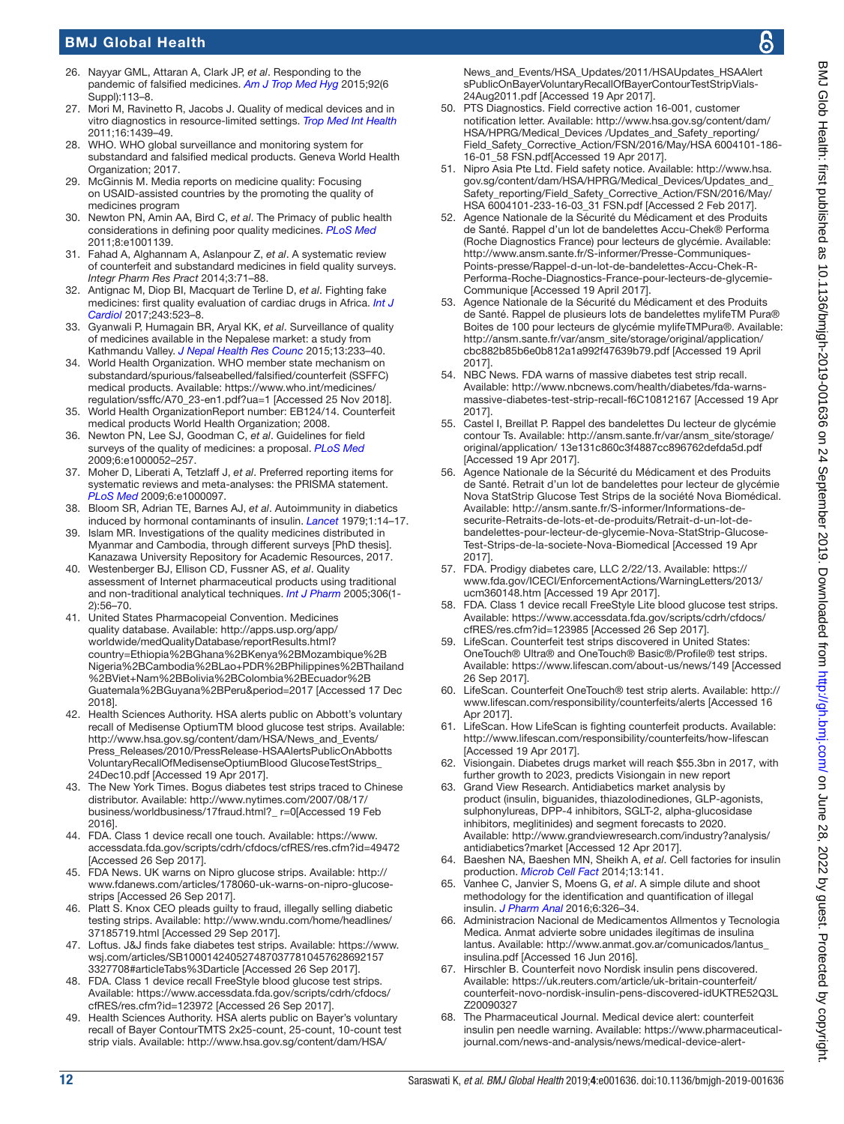- 26. Nayyar GML, Attaran A, Clark JP, *et al*. Responding to the pandemic of falsified medicines. *[Am J Trop Med Hyg](http://dx.doi.org/10.4269/ajtmh.14-0393)* 2015;92(6 Suppl):113–8.
- <span id="page-11-26"></span>27. Mori M, Ravinetto R, Jacobs J. Quality of medical devices and in vitro diagnostics in resource-limited settings. *[Trop Med Int Health](http://dx.doi.org/10.1111/j.1365-3156.2011.02852.x)* 2011;16:1439–49.
- <span id="page-11-0"></span>28. WHO. WHO global surveillance and monitoring system for substandard and falsified medical products. Geneva World Health Organization; 2017.
- 29. McGinnis M. Media reports on medicine quality: Focusing on USAID-assisted countries by the promoting the quality of medicines program
- 30. Newton PN, Amin AA, Bird C, *et al*. The Primacy of public health considerations in defining poor quality medicines. *[PLoS Med](http://dx.doi.org/10.1371/journal.pmed.1001139)* 2011;8:e1001139.
- <span id="page-11-1"></span>31. Fahad A, Alghannam A, Aslanpour Z, *et al*. A systematic review of counterfeit and substandard medicines in field quality surveys. *Integr Pharm Res Pract* 2014;3:71–88.
- <span id="page-11-2"></span>32. Antignac M, Diop BI, Macquart de Terline D, *et al*. Fighting fake medicines: first quality evaluation of cardiac drugs in Africa. *[Int J](http://dx.doi.org/10.1016/j.ijcard.2017.04.099)  [Cardiol](http://dx.doi.org/10.1016/j.ijcard.2017.04.099)* 2017;243:523–8.
- <span id="page-11-3"></span>33. Gyanwali P, Humagain BR, Aryal KK, *et al*. Surveillance of quality of medicines available in the Nepalese market: a study from Kathmandu Valley. *[J Nepal Health Res Counc](http://www.ncbi.nlm.nih.gov/pubmed/27005718)* 2015;13:233–40.
- <span id="page-11-4"></span>34. World Health Organization. WHO member state mechanism on substandard/spurious/falseabelled/falsified/counterfeit (SSFFC) medical products. Available: [https://www.who.int/medicines/](https://www.who.int/medicines/regulation/ssffc/A70_23-en1.pdf?ua=1) [regulation/ssffc/A70\\_23-en1.pdf?ua=1](https://www.who.int/medicines/regulation/ssffc/A70_23-en1.pdf?ua=1) [Accessed 25 Nov 2018].
- 35. World Health OrganizationReport number: EB124/14. Counterfeit medical products World Health Organization; 2008.
- <span id="page-11-5"></span>36. Newton PN, Lee SJ, Goodman C, *et al*. Guidelines for field surveys of the quality of medicines: a proposal. *[PLoS Med](http://dx.doi.org/10.1371/journal.pmed.1000052)* 2009;6:e1000052–257.
- <span id="page-11-6"></span>37. Moher D, Liberati A, Tetzlaff J, *et al*. Preferred reporting items for systematic reviews and meta-analyses: the PRISMA statement. *[PLoS Med](http://dx.doi.org/10.1371/journal.pmed.1000097)* 2009;6:e1000097.
- <span id="page-11-7"></span>38. Bloom SR, Adrian TE, Barnes AJ, *et al*. Autoimmunity in diabetics induced by hormonal contaminants of insulin. *[Lancet](http://dx.doi.org/10.1016/s0140-6736(79)90455-0)* 1979;1:14–17.
- <span id="page-11-8"></span>39. Islam MR. Investigations of the quality medicines distributed in Myanmar and Cambodia, through different surveys [PhD thesis]. Kanazawa University Repository for Academic Resources, 2017.
- <span id="page-11-9"></span>40. Westenberger BJ, Ellison CD, Fussner AS, *et al*. Quality assessment of Internet pharmaceutical products using traditional and non-traditional analytical techniques. *[Int J Pharm](http://dx.doi.org/10.1016/j.ijpharm.2005.08.027)* 2005;306(1- 2):56–70.
- <span id="page-11-10"></span>41. United States Pharmacopeial Convention. Medicines quality database. Available: [http://apps.usp.org/app/](http://apps.usp.org/app/worldwide/medQualityDatabase/reportResults.html?%20country=Ethiopia%2BGhana%2BKenya%2BMozambique%2B%20Nigeria%2BCambodia%2BLao+PDR%2BPhilippines%2BThailand%20%2BViet+Nam%2BBolivia%2BColombia%2BEcuador%2B%20Guatemala%2BGuyana%2BPeru&period=2017) [worldwide/medQualityDatabase/reportResults.html?](http://apps.usp.org/app/worldwide/medQualityDatabase/reportResults.html?%20country=Ethiopia%2BGhana%2BKenya%2BMozambique%2B%20Nigeria%2BCambodia%2BLao+PDR%2BPhilippines%2BThailand%20%2BViet+Nam%2BBolivia%2BColombia%2BEcuador%2B%20Guatemala%2BGuyana%2BPeru&period=2017)  [country=Ethiopia%2BGhana%2BKenya%2BMozambique%2B](http://apps.usp.org/app/worldwide/medQualityDatabase/reportResults.html?%20country=Ethiopia%2BGhana%2BKenya%2BMozambique%2B%20Nigeria%2BCambodia%2BLao+PDR%2BPhilippines%2BThailand%20%2BViet+Nam%2BBolivia%2BColombia%2BEcuador%2B%20Guatemala%2BGuyana%2BPeru&period=2017)  [Nigeria%2BCambodia%2BLao+PDR%2BPhilippines%2BThailand](http://apps.usp.org/app/worldwide/medQualityDatabase/reportResults.html?%20country=Ethiopia%2BGhana%2BKenya%2BMozambique%2B%20Nigeria%2BCambodia%2BLao+PDR%2BPhilippines%2BThailand%20%2BViet+Nam%2BBolivia%2BColombia%2BEcuador%2B%20Guatemala%2BGuyana%2BPeru&period=2017)  [%2BViet+Nam%2BBolivia%2BColombia%2BEcuador%2B](http://apps.usp.org/app/worldwide/medQualityDatabase/reportResults.html?%20country=Ethiopia%2BGhana%2BKenya%2BMozambique%2B%20Nigeria%2BCambodia%2BLao+PDR%2BPhilippines%2BThailand%20%2BViet+Nam%2BBolivia%2BColombia%2BEcuador%2B%20Guatemala%2BGuyana%2BPeru&period=2017)  [Guatemala%2BGuyana%2BPeru&period=2017](http://apps.usp.org/app/worldwide/medQualityDatabase/reportResults.html?%20country=Ethiopia%2BGhana%2BKenya%2BMozambique%2B%20Nigeria%2BCambodia%2BLao+PDR%2BPhilippines%2BThailand%20%2BViet+Nam%2BBolivia%2BColombia%2BEcuador%2B%20Guatemala%2BGuyana%2BPeru&period=2017) [Accessed 17 Dec 2018].
- <span id="page-11-11"></span>42. Health Sciences Authority. HSA alerts public on Abbott's voluntary recall of Medisense OptiumTM blood glucose test strips. Available: [http://www.hsa.gov.sg/content/dam/HSA/News\\_and\\_Events/](http://www.hsa.gov.sg/content/dam/HSA/News_and_Events/Press_Releases/2010/PressRelease-HSAAlertsPublicOnAbbottsVoluntaryRecallOfMedisenseOptiumBlood%20GlucoseTestStrips_24Dec10.pdf) [Press\\_Releases/2010/PressRelease-HSAAlertsPublicOnAbbotts](http://www.hsa.gov.sg/content/dam/HSA/News_and_Events/Press_Releases/2010/PressRelease-HSAAlertsPublicOnAbbottsVoluntaryRecallOfMedisenseOptiumBlood%20GlucoseTestStrips_24Dec10.pdf) [VoluntaryRecallOfMedisenseOptiumBlood GlucoseTestStrips\\_](http://www.hsa.gov.sg/content/dam/HSA/News_and_Events/Press_Releases/2010/PressRelease-HSAAlertsPublicOnAbbottsVoluntaryRecallOfMedisenseOptiumBlood%20GlucoseTestStrips_24Dec10.pdf) [24Dec10.pdf](http://www.hsa.gov.sg/content/dam/HSA/News_and_Events/Press_Releases/2010/PressRelease-HSAAlertsPublicOnAbbottsVoluntaryRecallOfMedisenseOptiumBlood%20GlucoseTestStrips_24Dec10.pdf) [Accessed 19 Apr 2017].
- 43. The New York Times. Bogus diabetes test strips traced to Chinese distributor. Available: [http://www.nytimes.com/2007/08/17/](http://www.nytimes.com/2007/08/17/business/worldbusiness/17fraud.html?_%20r=0) [business/worldbusiness/17fraud.html?\\_ r=0\[](http://www.nytimes.com/2007/08/17/business/worldbusiness/17fraud.html?_%20r=0)Accessed 19 Feb 2016].
- 44. FDA. Class 1 device recall one touch. Available: [https://www.](https://www.accessdata.fda.gov/scripts/cdrh/cfdocs/cfRES/res.cfm?id=49472) [accessdata.fda.gov/scripts/cdrh/cfdocs/cfRES/res.cfm?id=49472](https://www.accessdata.fda.gov/scripts/cdrh/cfdocs/cfRES/res.cfm?id=49472) [Accessed 26 Sep 2017].
- <span id="page-11-12"></span>45. FDA News. UK warns on Nipro glucose strips. Available: [http://](http://www.fdanews.com/articles/178060-uk-warns-on-nipro-glucose-strips) [www.fdanews.com/articles/178060-uk-warns-on-nipro-glucose](http://www.fdanews.com/articles/178060-uk-warns-on-nipro-glucose-strips)[strips](http://www.fdanews.com/articles/178060-uk-warns-on-nipro-glucose-strips) [Accessed 26 Sep 2017].
- <span id="page-11-20"></span>46. Platt S. Knox CEO pleads guilty to fraud, illegally selling diabetic testing strips. Available: [http://www.wndu.com/home/headlines/](http://www.wndu.com/home/headlines/37185719.html) [37185719.html](http://www.wndu.com/home/headlines/37185719.html) [Accessed 29 Sep 2017].
- <span id="page-11-25"></span>47. Loftus. J&J finds fake diabetes test strips. Available: [https://www.](https://www.wsj.com/articles/SB10001424052748703778104576286921573327708#articleTabs%3Darticle) [wsj.com/articles/SB1000142405274870377810457628692157](https://www.wsj.com/articles/SB10001424052748703778104576286921573327708#articleTabs%3Darticle) [3327708#articleTabs%3Darticle](https://www.wsj.com/articles/SB10001424052748703778104576286921573327708#articleTabs%3Darticle) [Accessed 26 Sep 2017].
- <span id="page-11-28"></span>48. FDA. Class 1 device recall FreeStyle blood glucose test strips. Available: [https://www.accessdata.fda.gov/scripts/cdrh/cfdocs/](https://www.accessdata.fda.gov/scripts/cdrh/cfdocs/cfRES/res.cfm?id=123972) [cfRES/res.cfm?id=123972](https://www.accessdata.fda.gov/scripts/cdrh/cfdocs/cfRES/res.cfm?id=123972) [Accessed 26 Sep 2017].
- <span id="page-11-24"></span>49. Health Sciences Authority. HSA alerts public on Bayer's voluntary recall of Bayer ContourTMTS 2x25-count, 25-count, 10-count test strip vials. Available: [http://www.hsa.gov.sg/content/dam/HSA/](http://www.hsa.gov.sg/content/dam/HSA/News_and_Events/HSA_Updates/2011/HSAUpdates_HSAAlertsPublicOnBayerVoluntaryRecallOfBayerContourTestStripVials-24Aug2011.pdf)

[News\\_and\\_Events/HSA\\_Updates/2011/HSAUpdates\\_HSAAlert](http://www.hsa.gov.sg/content/dam/HSA/News_and_Events/HSA_Updates/2011/HSAUpdates_HSAAlertsPublicOnBayerVoluntaryRecallOfBayerContourTestStripVials-24Aug2011.pdf) [sPublicOnBayerVoluntaryRecallOfBayerContourTestStripVials-](http://www.hsa.gov.sg/content/dam/HSA/News_and_Events/HSA_Updates/2011/HSAUpdates_HSAAlertsPublicOnBayerVoluntaryRecallOfBayerContourTestStripVials-24Aug2011.pdf)[24Aug2011.pdf](http://www.hsa.gov.sg/content/dam/HSA/News_and_Events/HSA_Updates/2011/HSAUpdates_HSAAlertsPublicOnBayerVoluntaryRecallOfBayerContourTestStripVials-24Aug2011.pdf) [Accessed 19 Apr 2017].

- <span id="page-11-30"></span>50. PTS Diagnostics. Field corrective action 16-001, customer notification letter. Available: [http://www.hsa.gov.sg/content/dam/](http://www.hsa.gov.sg/content/dam/HSA/HPRG/Medical_Devices%20/Updates_and_Safety_reporting/Field_Safety_Corrective_Action/FSN/2016/May/HSA%206004101-186-16-01_58%20FSN.pdf) [HSA/HPRG/Medical\\_Devices /Updates\\_and\\_Safety\\_reporting/](http://www.hsa.gov.sg/content/dam/HSA/HPRG/Medical_Devices%20/Updates_and_Safety_reporting/Field_Safety_Corrective_Action/FSN/2016/May/HSA%206004101-186-16-01_58%20FSN.pdf) [Field\\_Safety\\_Corrective\\_Action/FSN/2016/May/HSA 6004101-186-](http://www.hsa.gov.sg/content/dam/HSA/HPRG/Medical_Devices%20/Updates_and_Safety_reporting/Field_Safety_Corrective_Action/FSN/2016/May/HSA%206004101-186-16-01_58%20FSN.pdf) [16-01\\_58 FSN.pdf\[](http://www.hsa.gov.sg/content/dam/HSA/HPRG/Medical_Devices%20/Updates_and_Safety_reporting/Field_Safety_Corrective_Action/FSN/2016/May/HSA%206004101-186-16-01_58%20FSN.pdf)Accessed 19 Apr 2017].
- <span id="page-11-29"></span>51. Nipro Asia Pte Ltd. Field safety notice. Available: [http://www.hsa.](http://www.hsa.gov.sg/content/dam/HSA/HPRG/Medical_Devices/Updates_and_Safety_reporting/Field_Safety_Corrective_Action/FSN/2016/May/HSA%206004101-233-16-03_31%20FSN.pdf) gov.sg/content/dam/HSA/HPRG/Medical\_Devices/Updates\_and [Safety\\_reporting/Field\\_Safety\\_Corrective\\_Action/FSN/2016/May/](http://www.hsa.gov.sg/content/dam/HSA/HPRG/Medical_Devices/Updates_and_Safety_reporting/Field_Safety_Corrective_Action/FSN/2016/May/HSA%206004101-233-16-03_31%20FSN.pdf) [HSA 6004101-233-16-03\\_31 FSN.pdf](http://www.hsa.gov.sg/content/dam/HSA/HPRG/Medical_Devices/Updates_and_Safety_reporting/Field_Safety_Corrective_Action/FSN/2016/May/HSA%206004101-233-16-03_31%20FSN.pdf) [Accessed 2 Feb 2017].
- <span id="page-11-23"></span>52. Agence Nationale de la Sécurité du Médicament et des Produits de Santé. Rappel d'un lot de bandelettes Accu-Chek® Performa (Roche Diagnostics France) pour lecteurs de glycémie. Available: [http://www.ansm.sante.fr/S-informer/Presse-Communiques-](http://www.ansm.sante.fr/S-informer/Presse-Communiques-Points-presse/Rappel-d-un-lot-de-bandelettes-Accu-Chek-R-Performa-Roche-Diagnostics-France-pour-lecteurs-de-glycemie-Communique)[Points-presse/Rappel-d-un-lot-de-bandelettes-Accu-Chek-R-](http://www.ansm.sante.fr/S-informer/Presse-Communiques-Points-presse/Rappel-d-un-lot-de-bandelettes-Accu-Chek-R-Performa-Roche-Diagnostics-France-pour-lecteurs-de-glycemie-Communique)[Performa-Roche-Diagnostics-France-pour-lecteurs-de-glycemie-](http://www.ansm.sante.fr/S-informer/Presse-Communiques-Points-presse/Rappel-d-un-lot-de-bandelettes-Accu-Chek-R-Performa-Roche-Diagnostics-France-pour-lecteurs-de-glycemie-Communique)[Communique](http://www.ansm.sante.fr/S-informer/Presse-Communiques-Points-presse/Rappel-d-un-lot-de-bandelettes-Accu-Chek-R-Performa-Roche-Diagnostics-France-pour-lecteurs-de-glycemie-Communique) [Accessed 19 April 2017].
- <span id="page-11-22"></span>53. Agence Nationale de la Sécurité du Médicament et des Produits de Santé. Rappel de plusieurs lots de bandelettes mylifeTM Pura® Boites de 100 pour lecteurs de glycémie mylifeTMPura®. Available: [http://ansm.sante.fr/var/ansm\\_site/storage/original/application/](http://ansm.sante.fr/var/ansm_site/storage/original/application/cbc882b85b6e0b812a1a992f47639b79.pdf) [cbc882b85b6e0b812a1a992f47639b79.pdf](http://ansm.sante.fr/var/ansm_site/storage/original/application/cbc882b85b6e0b812a1a992f47639b79.pdf) [Accessed 19 April 2017].
- <span id="page-11-13"></span>54. NBC News. FDA warns of massive diabetes test strip recall. Available: [http://www.nbcnews.com/health/diabetes/fda-warns](http://www.nbcnews.com/health/diabetes/fda-warns-massive-diabetes-test-strip-recall-f6C10812167)[massive-diabetes-test-strip-recall-f6C10812167](http://www.nbcnews.com/health/diabetes/fda-warns-massive-diabetes-test-strip-recall-f6C10812167) [Accessed 19 Apr 2017].
- <span id="page-11-19"></span>55. Castel I, Breillat P. Rappel des bandelettes Du lecteur de glycémie contour Ts. Available: [http://ansm.sante.fr/var/ansm\\_site/storage/](http://ansm.sante.fr/var/ansm_site/storage/original/application/%2013e131c860c3f4887cc896762defda5d.pdf) [original/application/ 13e131c860c3f4887cc896762defda5d.pdf](http://ansm.sante.fr/var/ansm_site/storage/original/application/%2013e131c860c3f4887cc896762defda5d.pdf) [Accessed 19 Apr 2017].
- <span id="page-11-21"></span>56. Agence Nationale de la Sécurité du Médicament et des Produits de Santé. Retrait d'un lot de bandelettes pour lecteur de glycémie Nova StatStrip Glucose Test Strips de la société Nova Biomédical. Available: [http://ansm.sante.fr/S-informer/Informations-de](http://ansm.sante.fr/S-informer/Informations-de-securite-Retraits-de-lots-et-de-produits/Retrait-d-un-lot-de-bandelettes-pour-lecteur-de-glycemie-Nova-StatStrip-Glucose-Test-Strips-de-la-societe-Nova-Biomedical)[securite-Retraits-de-lots-et-de-produits/Retrait-d-un-lot-de](http://ansm.sante.fr/S-informer/Informations-de-securite-Retraits-de-lots-et-de-produits/Retrait-d-un-lot-de-bandelettes-pour-lecteur-de-glycemie-Nova-StatStrip-Glucose-Test-Strips-de-la-societe-Nova-Biomedical)[bandelettes-pour-lecteur-de-glycemie-Nova-StatStrip-Glucose-](http://ansm.sante.fr/S-informer/Informations-de-securite-Retraits-de-lots-et-de-produits/Retrait-d-un-lot-de-bandelettes-pour-lecteur-de-glycemie-Nova-StatStrip-Glucose-Test-Strips-de-la-societe-Nova-Biomedical)[Test-Strips-de-la-societe-Nova-Biomedical](http://ansm.sante.fr/S-informer/Informations-de-securite-Retraits-de-lots-et-de-produits/Retrait-d-un-lot-de-bandelettes-pour-lecteur-de-glycemie-Nova-StatStrip-Glucose-Test-Strips-de-la-societe-Nova-Biomedical) [Accessed 19 Apr 2017].
- <span id="page-11-27"></span>57. FDA. Prodigy diabetes care, LLC 2/22/13. Available: [https://](https://www.fda.gov/ICECI/EnforcementActions/WarningLetters/2013/ucm360148.htm) [www.fda.gov/ICECI/EnforcementActions/WarningLetters/2013/](https://www.fda.gov/ICECI/EnforcementActions/WarningLetters/2013/ucm360148.htm) [ucm360148.htm](https://www.fda.gov/ICECI/EnforcementActions/WarningLetters/2013/ucm360148.htm) [Accessed 19 Apr 2017].
- 58. FDA. Class 1 device recall FreeStyle Lite blood glucose test strips. Available: [https://www.accessdata.fda.gov/scripts/cdrh/cfdocs/](https://www.accessdata.fda.gov/scripts/cdrh/cfdocs/cfRES/res.cfm?id=123985) [cfRES/res.cfm?id=123985](https://www.accessdata.fda.gov/scripts/cdrh/cfdocs/cfRES/res.cfm?id=123985) [Accessed 26 Sep 2017].
- 59. LifeScan. Counterfeit test strips discovered in United States: OneTouch® Ultra® and OneTouch® Basic®/Profile® test strips. Available:<https://www.lifescan.com/about-us/news/149> [Accessed 26 Sep 2017].
- <span id="page-11-14"></span>60. LifeScan. Counterfeit OneTouch® test strip alerts. Available: [http://](http://www.lifescan.com/responsibility/counterfeits/alerts) [www.lifescan.com/responsibility/counterfeits/alerts](http://www.lifescan.com/responsibility/counterfeits/alerts) [Accessed 16 Apr 2017].
- <span id="page-11-31"></span>61. LifeScan. How LifeScan is fighting counterfeit products. Available: <http://www.lifescan.com/responsibility/counterfeits/how-lifescan> [Accessed 19 Apr 2017].
- <span id="page-11-15"></span>62. Visiongain. Diabetes drugs market will reach \$55.3bn in 2017, with further growth to 2023, predicts Visiongain in new report
- 63. Grand View Research. Antidiabetics market analysis by product (insulin, biguanides, thiazolodinediones, GLP-agonists, sulphonylureas, DPP-4 inhibitors, SGLT-2, alpha-glucosidase inhibitors, meglitinides) and segment forecasts to 2020. Available: [http://www.grandviewresearch.com/industry?analysis/](http://www.grandviewresearch.com/industry?analysis/antidiabetics?market) [antidiabetics?market](http://www.grandviewresearch.com/industry?analysis/antidiabetics?market) [Accessed 12 Apr 2017].
- <span id="page-11-18"></span>64. Baeshen NA, Baeshen MN, Sheikh A, *et al*. Cell factories for insulin production. *[Microb Cell Fact](http://dx.doi.org/10.1186/s12934-014-0141-0)* 2014;13:141.
- <span id="page-11-17"></span>65. Vanhee C, Janvier S, Moens G, *et al*. A simple dilute and shoot methodology for the identification and quantification of illegal insulin. *[J Pharm Anal](http://dx.doi.org/10.1016/j.jpha.2016.04.006)* 2016;6:326–34.
- <span id="page-11-16"></span>66. Administracion Nacional de Medicamentos Allmentos y Tecnologia Medica. Anmat advierte sobre unidades ilegítimas de insulina lantus. Available: [http://www.anmat.gov.ar/comunicados/lantus\\_](http://www.anmat.gov.ar/comunicados/lantus_insulina.pdf) [insulina.pdf](http://www.anmat.gov.ar/comunicados/lantus_insulina.pdf) [Accessed 16 Jun 2016].
- 67. Hirschler B. Counterfeit novo Nordisk insulin pens discovered. Available: [https://uk.reuters.com/article/uk-britain-counterfeit/](https://uk.reuters.com/article/uk-britain-counterfeit/counterfeit-novo-nordisk-insulin-pens-discovered-idUKTRE52Q3LZ20090327) [counterfeit-novo-nordisk-insulin-pens-discovered-idUKTRE52Q3L](https://uk.reuters.com/article/uk-britain-counterfeit/counterfeit-novo-nordisk-insulin-pens-discovered-idUKTRE52Q3LZ20090327) [Z20090327](https://uk.reuters.com/article/uk-britain-counterfeit/counterfeit-novo-nordisk-insulin-pens-discovered-idUKTRE52Q3LZ20090327)
- 68. The Pharmaceutical Journal. Medical device alert: counterfeit insulin pen needle warning. Available: [https://www.pharmaceutical](https://www.pharmaceutical-journal.com/news-and-analysis/news/medical-device-alert-counterfeit-insulin-pen-needle-warning/10794479.article)[journal.com/news-and-analysis/news/medical-device-alert-](https://www.pharmaceutical-journal.com/news-and-analysis/news/medical-device-alert-counterfeit-insulin-pen-needle-warning/10794479.article)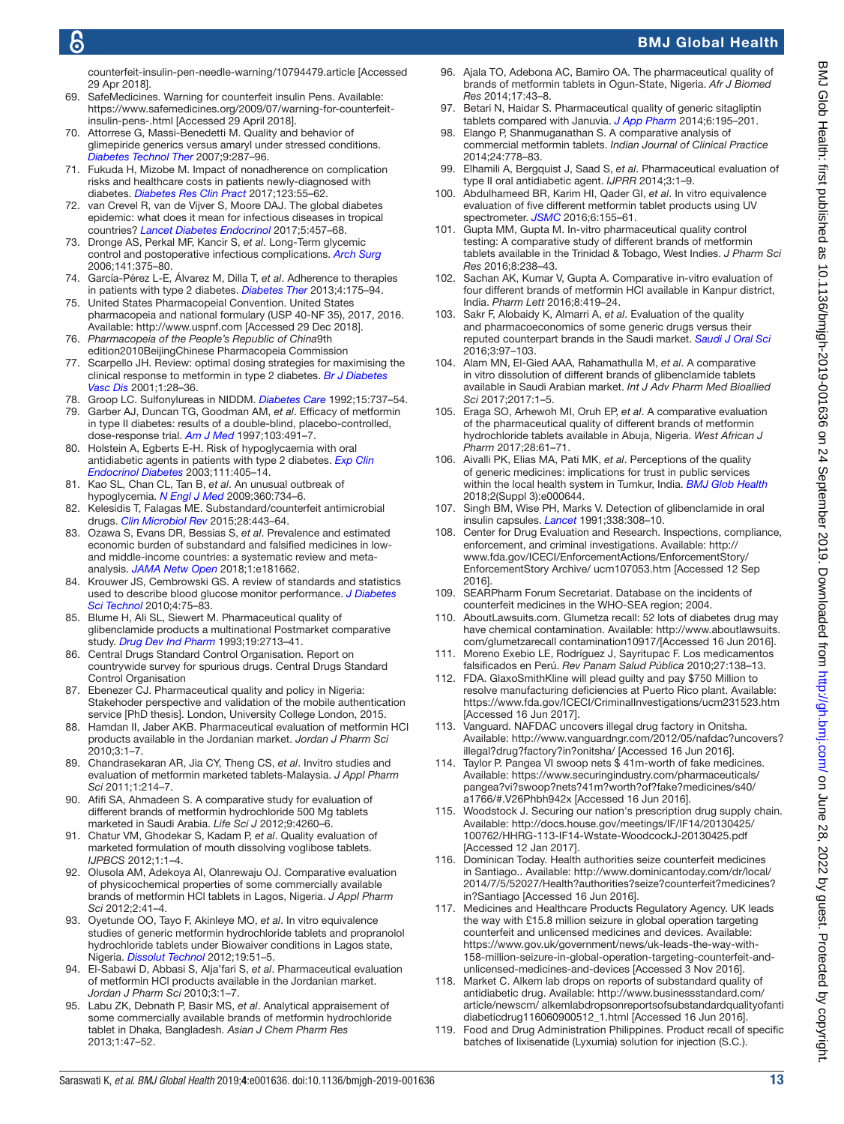[counterfeit-insulin-pen-needle-warning/10794479.article](https://www.pharmaceutical-journal.com/news-and-analysis/news/medical-device-alert-counterfeit-insulin-pen-needle-warning/10794479.article) [Accessed 29 Apr 2018].

- SafeMedicines. Warning for counterfeit insulin Pens. Available: [https://www.safemedicines.org/2009/07/warning-for-counterfeit](https://www.safemedicines.org/2009/07/warning-for-counterfeit-insulin-pens-.html)[insulin-pens-.html](https://www.safemedicines.org/2009/07/warning-for-counterfeit-insulin-pens-.html) [Accessed 29 April 2018].
- <span id="page-12-3"></span>70. Attorrese G, Massi-Benedetti M. Quality and behavior of glimepiride generics versus amaryl under stressed conditions. *[Diabetes Technol Ther](http://dx.doi.org/10.1089/dia.2006.0029)* 2007;9:287–96.
- 71. Fukuda H, Mizobe M. Impact of nonadherence on complication risks and healthcare costs in patients newly-diagnosed with diabetes. *[Diabetes Res Clin Pract](http://dx.doi.org/10.1016/j.diabres.2016.11.007)* 2017;123:55–62.
- 72. van Crevel R, van de Vijver S, Moore DAJ. The global diabetes epidemic: what does it mean for infectious diseases in tropical countries? *[Lancet Diabetes Endocrinol](http://dx.doi.org/10.1016/S2213-8587(16)30081-X)* 2017;5:457–68.
- 73. Dronge AS, Perkal MF, Kancir S, *et al*. Long-Term glycemic control and postoperative infectious complications. *[Arch Surg](http://dx.doi.org/10.1001/archsurg.141.4.375)* 2006;141:375–80.
- <span id="page-12-36"></span>74. García-Pérez L-E, Álvarez M, Dilla T, *et al*. Adherence to therapies in patients with type 2 diabetes. *[Diabetes Ther](http://dx.doi.org/10.1007/s13300-013-0034-y)* 2013;4:175–94.
- <span id="page-12-37"></span>75. United States Pharmacopeial Convention. United States pharmacopeia and national formulary (USP 40-NF 35), 2017, 2016. Available:<http://www.uspnf.com>[Accessed 29 Dec 2018].
- 76. *Pharmacopeia of the People's Republic of China*9th edition2010BeijingChinese Pharmacopeia Commission
- <span id="page-12-38"></span>77. Scarpello JH. Review: optimal dosing strategies for maximising the clinical response to metformin in type 2 diabetes. *[Br J Diabetes](http://dx.doi.org/10.1177/14746514010010010501)  [Vasc Dis](http://dx.doi.org/10.1177/14746514010010010501)* 2001;1:28–36.
- 78. Groop LC. Sulfonylureas in NIDDM. *[Diabetes Care](http://dx.doi.org/10.2337/diacare.15.6.737)* 1992;15:737–54.
- 79. Garber AJ, Duncan TG, Goodman AM, *et al*. Efficacy of metformin in type II diabetes: results of a double-blind, placebo-controlled, dose-response trial. *[Am J Med](http://dx.doi.org/10.1016/s0002-9343(97)00254-4)* 1997;103:491–7.
- <span id="page-12-39"></span>80. Holstein A, Egberts E-H. Risk of hypoglycaemia with oral antidiabetic agents in patients with type 2 diabetes. *[Exp Clin](http://dx.doi.org/10.1055/s-2003-44287)  [Endocrinol Diabetes](http://dx.doi.org/10.1055/s-2003-44287)* 2003;111:405–14.
- <span id="page-12-40"></span>81. Kao SL, Chan CL, Tan B, *et al*. An unusual outbreak of hypoglycemia. *[N Engl J Med](http://dx.doi.org/10.1056/NEJMc0807678)* 2009;360:734–6.
- 82. Kelesidis T, Falagas ME. Substandard/counterfeit antimicrobial drugs. *[Clin Microbiol Rev](http://dx.doi.org/10.1128/CMR.00072-14)* 2015;28:443–64.
- <span id="page-12-41"></span>83. Ozawa S, Evans DR, Bessias S, *et al*. Prevalence and estimated economic burden of substandard and falsified medicines in lowand middle-income countries: a systematic review and metaanalysis. *[JAMA Netw Open](http://dx.doi.org/10.1001/jamanetworkopen.2018.1662)* 2018;1:e181662.
- <span id="page-12-42"></span>84. Krouwer JS, Cembrowski GS. A review of standards and statistics used to describe blood glucose monitor performance. *[J Diabetes](http://dx.doi.org/10.1177/193229681000400110)  [Sci Technol](http://dx.doi.org/10.1177/193229681000400110)* 2010;4:75–83.
- <span id="page-12-0"></span>85. Blume H, Ali SL, Siewert M. Pharmaceutical quality of glibenclamide products a multinational Postmarket comparative study. *[Drug Dev Ind Pharm](http://dx.doi.org/10.3109/03639049309050174)* 1993;19:2713–41.
- <span id="page-12-1"></span>86. Central Drugs Standard Control Organisation. Report on countrywide survey for spurious drugs. Central Drugs Standard Control Organisation
- <span id="page-12-2"></span>87. Ebenezer CJ. Pharmaceutical quality and policy in Nigeria: Stakehoder perspective and validation of the mobile authentication service [PhD thesis]. London, University College London, 2015.
- <span id="page-12-4"></span>88. Hamdan II, Jaber AKB. Pharmaceutical evaluation of metformin HCl products available in the Jordanian market. *Jordan J Pharm Sci* 2010;3:1–7.
- <span id="page-12-5"></span>89. Chandrasekaran AR, Jia CY, Theng CS, *et al*. Invitro studies and evaluation of metformin marketed tablets-Malaysia. *J Appl Pharm Sci* 2011;1:214–7.
- <span id="page-12-6"></span>90. Afifi SA, Ahmadeen S. A comparative study for evaluation of different brands of metformin hydrochloride 500 Mg tablets marketed in Saudi Arabia. *Life Sci J* 2012;9:4260–6.
- <span id="page-12-7"></span>91. Chatur VM, Ghodekar S, Kadam P, *et al*. Quality evaluation of marketed formulation of mouth dissolving voglibose tablets. *IJPBCS* 2012;1:1–4.
- <span id="page-12-8"></span>92. Olusola AM, Adekoya AI, Olanrewaju OJ. Comparative evaluation of physicochemical properties of some commercially available brands of metformin HCl tablets in Lagos, Nigeria. *J Appl Pharm Sci* 2012;2:41–4.
- <span id="page-12-9"></span>93. Oyetunde OO, Tayo F, Akinleye MO, *et al*. In vitro equivalence studies of generic metformin hydrochloride tablets and propranolol hydrochloride tablets under Biowaiver conditions in Lagos state, Nigeria. *[Dissolut Technol](http://dx.doi.org/10.14227/DT190412P51)* 2012;19:51–5.
- <span id="page-12-10"></span>94. El-Sabawi D, Abbasi S, Alja'fari S, *et al*. Pharmaceutical evaluation of metformin HCl products available in the Jordanian market. *Jordan J Pharm Sci* 2010;3:1–7.
- <span id="page-12-11"></span>95. Labu ZK, Debnath P, Basir MS, *et al*. Analytical appraisement of some commercially available brands of metformin hydrochloride tablet in Dhaka, Bangladesh. *Asian J Chem Pharm Res* 2013;1:47–52.
- <span id="page-12-12"></span>96. Aiala TO, Adebona AC, Bamiro OA. The pharmaceutical quality of brands of metformin tablets in Ogun-State, Nigeria. *Afr J Biomed Res* 2014;17:43–8.
- <span id="page-12-13"></span>97. Betari N, Haidar S. Pharmaceutical quality of generic sitagliptin tablets compared with Januvia. *[J App Pharm](http://dx.doi.org/10.21065/19204159.6.3.172)* 2014;6:195–201.
- <span id="page-12-14"></span>98. Elango P, Shanmuganathan S. A comparative analysis of commercial metformin tablets. *Indian Journal of Clinical Practice* 2014;24:778–83.
- <span id="page-12-15"></span>99. Elhamili A, Bergquist J, Saad S, *et al*. Pharmaceutical evaluation of type II oral antidiabetic agent. *IJPRR* 2014;3:1–9.
- <span id="page-12-16"></span>100. Abdulhameed BR, Karim HI, Qader GI, *et al*. In vitro equivalence evaluation of five different metformin tablet products using UV spectrometer. *[JSMC](http://dx.doi.org/10.17656/jsmc.10100)* 2016;6:155–61.
- <span id="page-12-17"></span>101. Gupta MM, Gupta M. In-vitro pharmaceutical quality control testing: A comparative study of different brands of metformin tablets available in the Trinidad & Tobago, West Indies. *J Pharm Sci Res* 2016;8:238–43.
- <span id="page-12-18"></span>102. Sachan AK, Kumar V, Gupta A. Comparative in-vitro evaluation of four different brands of metformin HCl available in Kanpur district, India. *Pharm Lett* 2016;8:419–24.
- <span id="page-12-19"></span>103. Sakr F, Alobaidy K, Almarri A, *et al*. Evaluation of the quality and pharmacoeconomics of some generic drugs versus their reputed counterpart brands in the Saudi market. *[Saudi J Oral Sci](http://dx.doi.org/10.4103/1658-6816.188081)* 2016;3:97–103.
- <span id="page-12-20"></span>104. Alam MN, El-Gied AAA, Rahamathulla M, *et al*. A comparative in vitro dissolution of different brands of glibenclamide tablets available in Saudi Arabian market. *Int J Adv Pharm Med Bioallied Sci* 2017;2017:1–5.
- <span id="page-12-21"></span>105. Eraga SO, Arhewoh MI, Oruh EP, *et al*. A comparative evaluation of the pharmaceutical quality of different brands of metformin hydrochloride tablets available in Abuja, Nigeria. *West African J Pharm* 2017;28:61–71.
- <span id="page-12-22"></span>106. Aivalli PK, Elias MA, Pati MK, *et al*. Perceptions of the quality of generic medicines: implications for trust in public services within the local health system in Tumkur, India. *[BMJ Glob Health](http://dx.doi.org/10.1136/bmjgh-2017-000644)* 2018;2(Suppl 3):e000644.
- <span id="page-12-23"></span>107. Singh BM, Wise PH, Marks V. Detection of glibenclamide in oral insulin capsules. *[Lancet](http://dx.doi.org/10.1016/0140-6736(91)90448-X)* 1991;338:308–10.
- <span id="page-12-24"></span>108. Center for Drug Evaluation and Research. Inspections, compliance, enforcement, and criminal investigations. Available: [http://](http://www.fda.gov/ICECI/EnforcementActions/EnforcementStory/EnforcementStory%20Archive/%20ucm107053.htm) [www.fda.gov/ICECI/EnforcementActions/EnforcementStory/](http://www.fda.gov/ICECI/EnforcementActions/EnforcementStory/EnforcementStory%20Archive/%20ucm107053.htm) [EnforcementStory Archive/ ucm107053.htm](http://www.fda.gov/ICECI/EnforcementActions/EnforcementStory/EnforcementStory%20Archive/%20ucm107053.htm) [Accessed 12 Sep 2016].
- <span id="page-12-25"></span>109. SEARPharm Forum Secretariat. Database on the incidents of counterfeit medicines in the WHO-SEA region; 2004.
- <span id="page-12-26"></span>110. AboutLawsuits.com. Glumetza recall: 52 lots of diabetes drug may have chemical contamination. Available: [http://www.aboutlawsuits.](http://www.aboutlawsuits.com/glumetzarecall%20contamination10917/) [com/glumetzarecall contamination10917/\[](http://www.aboutlawsuits.com/glumetzarecall%20contamination10917/)Accessed 16 Jun 2016].
- <span id="page-12-27"></span>111. Moreno Exebio LE, Rodríguez J, Sayritupac F. Los medicamentos falsificados en Perú. *Rev Panam Salud Pública* 2010;27:138–13.
- <span id="page-12-28"></span>112. FDA. GlaxoSmithKline will plead guilty and pay \$750 Million to resolve manufacturing deficiencies at Puerto Rico plant. Available: <https://www.fda.gov/ICECI/CriminalInvestigations/ucm231523.htm> [Accessed 16 Jun 2017].
- <span id="page-12-29"></span>113. Vanguard. NAFDAC uncovers illegal drug factory in Onitsha. Available: [http://www.vanguardngr.com/2012/05/nafdac?uncovers?](http://www.vanguardngr.com/2012/05/nafdac?uncovers?illegal?drug?factory?in?onitsha/) [illegal?drug?factory?in?onitsha/](http://www.vanguardngr.com/2012/05/nafdac?uncovers?illegal?drug?factory?in?onitsha/) [Accessed 16 Jun 2016].
- <span id="page-12-30"></span>114. Taylor P. Pangea VI swoop nets \$ 41m-worth of fake medicines. Available: [https://www.securingindustry.com/pharmaceuticals/](https://www.securingindustry.com/pharmaceuticals/pangea?vi?swoop?nets?41m?worth?of?fake?medicines/s40/a1766/#.V26Phbh942x) [pangea?vi?swoop?nets?41m?worth?of?fake?medicines/s40/](https://www.securingindustry.com/pharmaceuticals/pangea?vi?swoop?nets?41m?worth?of?fake?medicines/s40/a1766/#.V26Phbh942x) [a1766/#.V26Phbh942x](https://www.securingindustry.com/pharmaceuticals/pangea?vi?swoop?nets?41m?worth?of?fake?medicines/s40/a1766/#.V26Phbh942x) [Accessed 16 Jun 2016].
- <span id="page-12-31"></span>115. Woodstock J. Securing our nation's prescription drug supply chain. Available: [http://docs.house.gov/meetings/IF/IF14/20130425/](http://docs.house.gov/meetings/IF/IF14/20130425/100762/HHRG-113-IF14-Wstate-WoodcockJ-20130425.pdf) [100762/HHRG-113-IF14-Wstate-WoodcockJ-20130425.pdf](http://docs.house.gov/meetings/IF/IF14/20130425/100762/HHRG-113-IF14-Wstate-WoodcockJ-20130425.pdf)  [Accessed 12 Jan 2017].
- <span id="page-12-32"></span>116. Dominican Today. Health authorities seize counterfeit medicines in Santiago.. Available: [http://www.dominicantoday.com/dr/local/](http://www.dominicantoday.com/dr/local/2014/7/5/52027/Health?authorities?seize?counterfeit?medicines?in?Santiago) [2014/7/5/52027/Health?authorities?seize?counterfeit?medicines?](http://www.dominicantoday.com/dr/local/2014/7/5/52027/Health?authorities?seize?counterfeit?medicines?in?Santiago) [in?Santiago](http://www.dominicantoday.com/dr/local/2014/7/5/52027/Health?authorities?seize?counterfeit?medicines?in?Santiago) [Accessed 16 Jun 2016].
- <span id="page-12-33"></span>117. Medicines and Healthcare Products Regulatory Agency. UK leads the way with £15.8 million seizure in global operation targeting counterfeit and unlicensed medicines and devices. Available: [https://www.gov.uk/government/news/uk-leads-the-way-with-](https://www.gov.uk/government/news/uk-leads-the-way-with-158-million-seizure-in-global-operation-targeting-counterfeit-and-unlicensed-medicines-and-devices)[158-million-seizure-in-global-operation-targeting-counterfeit-and](https://www.gov.uk/government/news/uk-leads-the-way-with-158-million-seizure-in-global-operation-targeting-counterfeit-and-unlicensed-medicines-and-devices)[unlicensed-medicines-and-devices](https://www.gov.uk/government/news/uk-leads-the-way-with-158-million-seizure-in-global-operation-targeting-counterfeit-and-unlicensed-medicines-and-devices) [Accessed 3 Nov 2016].
- <span id="page-12-34"></span>118. Market C. Alkem lab drops on reports of substandard quality of antidiabetic drug. Available: [http://www.businessstandard.com/](http://www.businessstandard.com/article/newscm/%20alkemlabdropsonreportsofsubstandardqualityofantidiabeticdrug116060900512_1.html) [article/newscm/ alkemlabdropsonreportsofsubstandardqualityofanti](http://www.businessstandard.com/article/newscm/%20alkemlabdropsonreportsofsubstandardqualityofantidiabeticdrug116060900512_1.html) [diabeticdrug116060900512\\_1.html](http://www.businessstandard.com/article/newscm/%20alkemlabdropsonreportsofsubstandardqualityofantidiabeticdrug116060900512_1.html) [Accessed 16 Jun 2016].
- <span id="page-12-35"></span>119. Food and Drug Administration Philippines. Product recall of specific batches of lixisenatide (Lyxumia) solution for injection (S.C.).